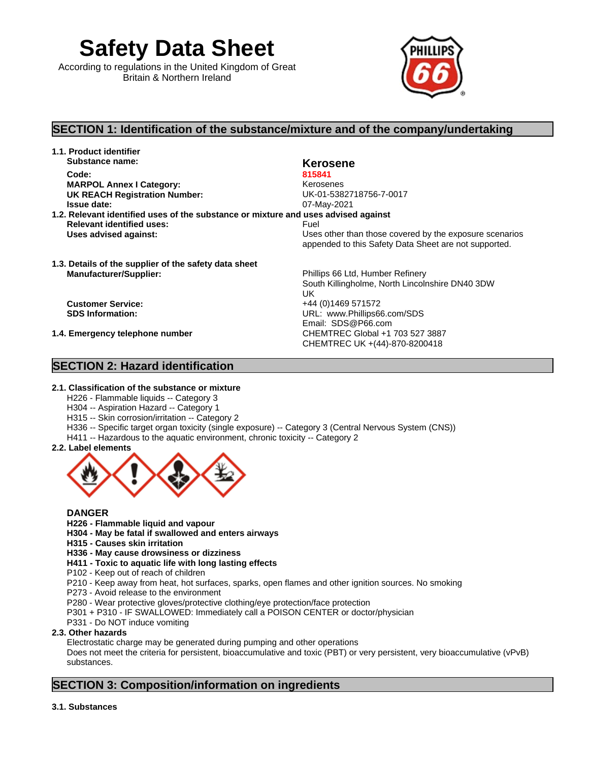**Safety Data Sheet**

According to regulations in the United Kingdom of Great Britain & Northern Ireland



# **SECTION 1: Identification of the substance/mixture and of the company/undertaking**

**1.1. Product identifier Substance name: Kerosene Kerosene Kerosene Code: 815841 MARPOL Annex I Category:** Kerosenes

**UK REACH Registration Number:** UK-01-5382718756-7-0017 **Issue date:** 07-May-2021

- **1.2. Relevant identified uses of the substance or mixture and uses advised against Relevant identified uses:** Fuel
- **1.3. Details of the supplier of the safety data sheet Manufacturer/Supplier:** Phillips 66 Ltd, Humber Refinery

# **SECTION 2: Hazard identification**

**Uses advised against:** Uses other than those covered by the exposure scenarios appended to this Safety Data Sheet are not supported.

South Killingholme, North Lincolnshire DN40 3DW UK **UK UK UK Customer Service:** +44 (0)1469 571572<br> **SDS Information:** +57 URL: www.Phillips66 **SDS Information:** URL: www.Phillips66.com/SDS Email: SDS@P66.com **1.4. Emergency telephone number** CHEMTREC Global +1 703 527 3887 CHEMTREC UK +(44)-870-8200418

### **2.1. Classification of the substance or mixture**

- H226 Flammable liquids -- Category 3
- H304 -- Aspiration Hazard -- Category 1
- H315 -- Skin corrosion/irritation -- Category 2
- H336 -- Specific target organ toxicity (single exposure) -- Category 3 (Central Nervous System (CNS))
- H411 -- Hazardous to the aquatic environment, chronic toxicity -- Category 2
- **2.2. Label elements**



### **DANGER**

- **H226 - Flammable liquid and vapour**
- **H304 - May be fatal if swallowed and enters airways**
- **H315 - Causes skin irritation**
- **H336 May cause drowsiness or dizziness**
- **H411 - Toxic to aquatic life with long lasting effects**
- P102 Keep out of reach of children
- P210 Keep away from heat, hot surfaces, sparks, open flames and other ignition sources. No smoking
- P273 Avoid release to the environment
- P280 Wear protective gloves/protective clothing/eye protection/face protection
- P301 + P310 IF SWALLOWED: Immediately call a POISON CENTER or doctor/physician
- P331 Do NOT induce vomiting

### **2.3. Other hazards**

Electrostatic charge may be generated during pumping and other operations

Does not meet the criteria for persistent, bioaccumulative and toxic (PBT) or very persistent, very bioaccumulative (vPvB) substances.

# **SECTION 3: Composition/information on ingredients**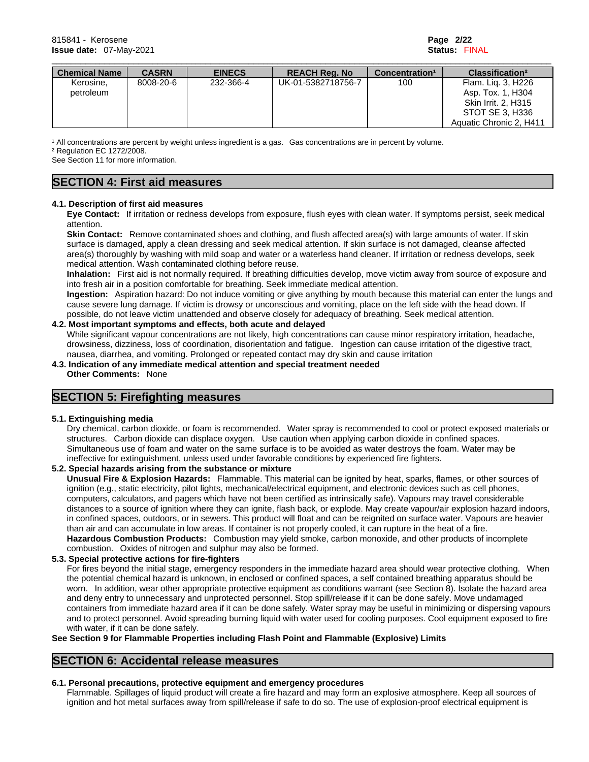| <b>Chemical Name</b> | <b>CASRN</b> | <b>EINECS</b> | <b>REACH Reg. No</b> | Concentration <sup>1</sup> | Classification <sup>2</sup> |
|----------------------|--------------|---------------|----------------------|----------------------------|-----------------------------|
| Kerosine,            | 8008-20-6    | 232-366-4     | UK-01-5382718756-7   | 100                        | Flam. Lig. 3, H226          |
| petroleum            |              |               |                      |                            | Asp. Tox. 1, H304           |
|                      |              |               |                      |                            | Skin Irrit. 2, H315         |
|                      |              |               |                      |                            | STOT SE 3. H336             |
|                      |              |               |                      |                            | Aquatic Chronic 2, H411     |

<sup>1</sup> All concentrations are percent by weight unless ingredient is a gas. Gas concentrations are in percent by volume.

² Regulation EC 1272/2008.

See Section 11 for more information.

# **SECTION 4: First aid measures**

#### **4.1. Description of first aid measures**

**Eye Contact:** If irritation or redness develops from exposure, flush eyes with clean water. If symptoms persist, seek medical attention.

**Skin Contact:** Remove contaminated shoes and clothing, and flush affected area(s) with large amounts of water. If skin surface is damaged, apply a clean dressing and seek medical attention. If skin surface is not damaged, cleanse affected area(s) thoroughly by washing with mild soap and water or a waterless hand cleaner. If irritation or redness develops, seek medical attention. Wash contaminated clothing before reuse.

**Inhalation:** First aid is not normally required. If breathing difficulties develop, move victim away from source of exposure and into fresh air in a position comfortable for breathing. Seek immediate medical attention.

**Ingestion:** Aspiration hazard: Do not induce vomiting or give anything by mouth because this material can enter the lungs and cause severe lung damage. If victim is drowsy or unconscious and vomiting, place on the left side with the head down. If possible, do not leave victim unattended and observe closely for adequacy of breathing. Seek medical attention.

#### **4.2. Most important symptoms and effects, both acute and delayed**

While significant vapour concentrations are not likely, high concentrations can cause minor respiratory irritation, headache, drowsiness, dizziness, loss of coordination, disorientation and fatigue. Ingestion can cause irritation of the digestive tract, nausea, diarrhea, and vomiting. Prolonged or repeated contact may dry skin and cause irritation

**4.3. Indication of any immediate medical attention and special treatment needed Other Comments:** None

# **SECTION 5: Firefighting measures**

#### **5.1. Extinguishing media**

Dry chemical, carbon dioxide, or foam is recommended. Water spray is recommended to cool or protect exposed materials or structures. Carbon dioxide can displace oxygen. Use caution when applying carbon dioxide in confined spaces. Simultaneous use of foam and water on the same surface isto be avoided as water destroys the foam. Water may be ineffective for extinguishment, unless used under favorable conditions by experienced fire fighters.

#### **5.2. Special hazards arising from the substance or mixture**

**Unusual Fire & Explosion Hazards:** Flammable. This material can be ignited by heat, sparks, flames, or other sources of ignition (e.g., static electricity, pilot lights, mechanical/electrical equipment, and electronic devices such as cell phones, computers, calculators, and pagers which have not been certified as intrinsically safe). Vapours may travel considerable distances to a source of ignition where they can ignite, flash back, or explode. May create vapour/air explosion hazard indoors, in confined spaces, outdoors, or in sewers. This product willfloat and can be reignited on surface water. Vapours are heavier than air and can accumulate in low areas. If container is not properly cooled, it can rupture in the heat of a fire. **Hazardous Combustion Products:** Combustion may yield smoke, carbon monoxide, and other products of incomplete combustion. Oxides of nitrogen and sulphur may also be formed.

**5.3. Special protective actions for fire-fighters**

For fires beyond the initial stage, emergency responders in the immediate hazard area should wear protective clothing. When the potential chemical hazard is unknown, in enclosed or confined spaces, a self contained breathing apparatus should be worn. In addition, wear other appropriate protective equipment as conditions warrant (see Section 8). Isolate the hazard area and deny entry to unnecessary and unprotected personnel. Stop spill/release if it can be done safely. Move undamaged containers from immediate hazard area if it can be done safely. Water spray may be useful in minimizing or dispersing vapours and to protect personnel. Avoid spreading burning liquid with water used for cooling purposes. Cool equipment exposed to fire with water, if it can be done safely.

#### **See Section 9 for Flammable Properties including Flash Point and Flammable (Explosive) Limits**

# **SECTION 6: Accidental release measures**

#### **6.1. Personal precautions, protective equipment and emergency procedures**

Flammable. Spillages of liquid product will create a fire hazard and may form an explosive atmosphere. Keep all sources of ignition and hot metal surfaces away from spill/release if safe to do so. The use of explosion-proof electrical equipment is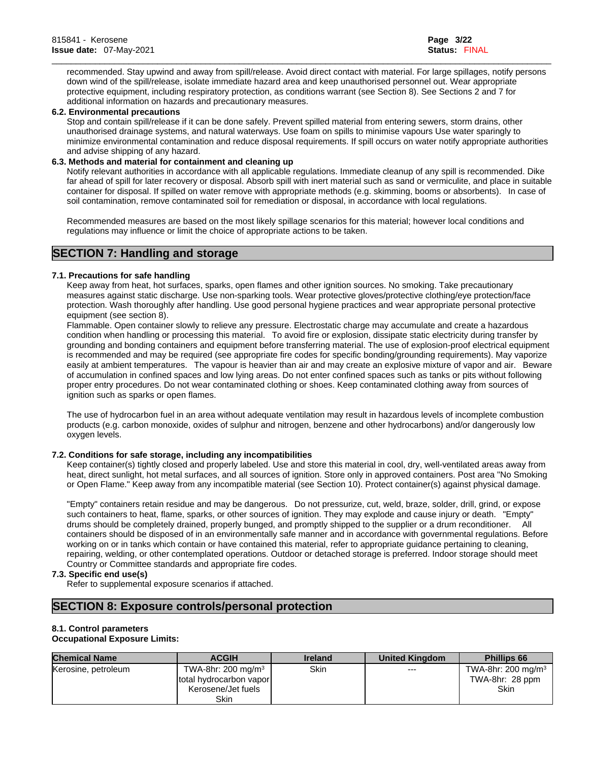recommended. Stay upwind and away from spill/release. Avoid direct contact with material. For large spillages, notify persons down wind of the spill/release, isolate immediate hazard area and keep unauthorised personnel out. Wear appropriate protective equipment, including respiratory protection, as conditions warrant (see Section 8). See Sections 2 and 7 for additional information on hazards and precautionary measures.

\_\_\_\_\_\_\_\_\_\_\_\_\_\_\_\_\_\_\_\_\_\_\_\_\_\_\_\_\_\_\_\_\_\_\_\_\_\_\_\_\_\_\_\_\_\_\_\_\_\_\_\_\_\_\_\_\_\_\_\_\_\_\_\_\_\_\_\_\_\_\_\_\_\_\_\_\_\_\_\_\_\_\_\_\_\_\_\_\_\_\_\_\_\_\_\_\_\_\_\_\_\_\_\_

#### **6.2. Environmental precautions**

Stop and contain spill/release if it can be done safely. Prevent spilled material from entering sewers, storm drains, other unauthorised drainage systems, and natural waterways. Use foam on spills to minimise vapours Use water sparingly to minimize environmental contamination and reduce disposal requirements. If spill occurs on water notify appropriate authorities and advise shipping of any hazard.

#### **6.3. Methods and material for containment and cleaning up**

Notify relevant authorities in accordance with all applicable regulations. Immediate cleanup of any spill is recommended. Dike far ahead of spill for later recovery or disposal. Absorb spill with inert material such as sand or vermiculite, and place in suitable container for disposal. If spilled on water remove with appropriate methods (e.g. skimming, booms or absorbents). In case of soil contamination, remove contaminated soil for remediation or disposal, in accordance with local regulations.

Recommended measures are based on the most likely spillage scenarios for this material; however local conditions and regulations may influence or limit the choice of appropriate actions to be taken.

# **SECTION 7: Handling and storage**

#### **7.1. Precautions for safe handling**

Keep away from heat, hot surfaces, sparks, open flames and other ignition sources. No smoking. Take precautionary measures against static discharge. Use non-sparking tools. Wear protective gloves/protective clothing/eye protection/face protection. Wash thoroughly after handling. Use good personal hygiene practices and wear appropriate personal protective equipment (see section 8).

Flammable. Open container slowly to relieve any pressure. Electrostatic charge may accumulate and create a hazardous condition when handling or processing this material. To avoid fire or explosion, dissipate static electricity during transfer by grounding and bonding containers and equipment before transferring material. The use of explosion-proof electrical equipment is recommended and may be required (see appropriate fire codes for specific bonding/grounding requirements). May vaporize easily at ambient temperatures. The vapour is heavier than air and may create an explosive mixture of vapor and air. Beware of accumulation in confined spaces and low lying areas. Do not enterconfined spaces such as tanks or pits without following proper entry procedures. Do not wear contaminated clothing or shoes. Keep contaminated clothing away from sources of ignition such as sparks or open flames.

The use of hydrocarbon fuel in an area without adequate ventilation may result in hazardous levels of incomplete combustion products (e.g. carbon monoxide, oxides of sulphur and nitrogen, benzene and other hydrocarbons) and/or dangerously low oxygen levels.

#### **7.2. Conditions for safe storage, including any incompatibilities**

Keep container(s) tightly closed and properly labeled. Use and store this material in cool, dry, well-ventilated areas away from heat, direct sunlight, hot metal surfaces, and all sources of ignition. Store only in approved containers. Post area "No Smoking or Open Flame." Keep away from any incompatible material(see Section 10). Protect container(s) against physical damage.

"Empty" containers retain residue and may be dangerous. Do not pressurize, cut, weld, braze, solder, drill, grind, or expose such containers to heat, flame, sparks, or other sources of ignition. They may explode and cause injury or death. "Empty" drums should be completely drained, properly bunged, and promptly shipped to the supplier or a drum reconditioner. All containers should be disposed of in an environmentally safe manner and in accordance with governmental regulations. Before working on or in tanks which contain or have contained this material, refer to appropriate guidance pertaining to cleaning, repairing, welding, or other contemplated operations. Outdoor or detached storage is preferred. Indoor storage should meet Country or Committee standards and appropriate fire codes.

#### **7.3. Specific end use(s)**

Refer to supplemental exposure scenarios if attached.

# **SECTION 8: Exposure controls/personal protection**

#### **8.1. Control parameters**

#### **Occupational Exposure Limits:**

| <b>Chemical Name</b> | <b>ACGIH</b>                   | <b>Ireland</b> | <b>United Kingdom</b> | <b>Phillips 66</b>    |
|----------------------|--------------------------------|----------------|-----------------------|-----------------------|
| Kerosine, petroleum  | TWA-8hr: 200 mg/m <sup>3</sup> | Skin           | $---$                 | TWA-8hr: 200 mg/m $3$ |
|                      | total hydrocarbon vapor        |                |                       | TWA-8hr: 28 ppm       |
|                      | Kerosene/Jet fuels             |                |                       | <b>Skin</b>           |
|                      | Skin                           |                |                       |                       |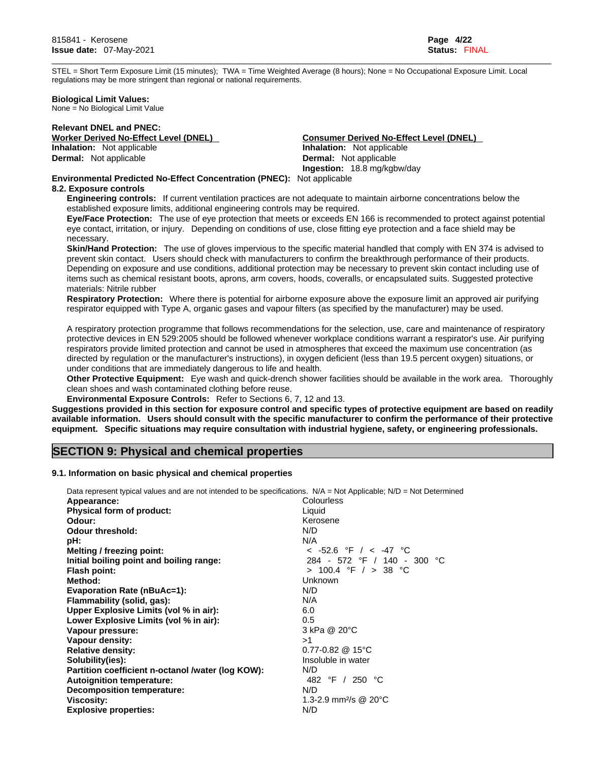STEL = Short Term Exposure Limit (15 minutes); TWA = Time Weighted Average (8 hours); None = No Occupational Exposure Limit. Local regulations may be more stringent than regional or national requirements.

\_\_\_\_\_\_\_\_\_\_\_\_\_\_\_\_\_\_\_\_\_\_\_\_\_\_\_\_\_\_\_\_\_\_\_\_\_\_\_\_\_\_\_\_\_\_\_\_\_\_\_\_\_\_\_\_\_\_\_\_\_\_\_\_\_\_\_\_\_\_\_\_\_\_\_\_\_\_\_\_\_\_\_\_\_\_\_\_\_\_\_\_\_\_\_\_\_\_\_\_\_\_\_\_

**Biological Limit Values:** 

None = No Biological Limit Value

**Relevant DNEL and PNEC: Dermal:** Not applicable

**Worker Derived No-Effect Level (DNEL)**<br> **Consumer Derived No-Effect Level (DNEL)**<br> **Inhalation:** Not applicable<br> **Inhalation:** Not applicable **Inhalation:** Not applicable **Dermal:** Not applicable **Ingestion:** 18.8 mg/kgbw/day

### **Environmental Predicted No-Effect Concentration (PNEC):** Not applicable

#### **8.2. Exposure controls**

**Engineering controls:** If current ventilation practices are not adequate to maintain airborne concentrations below the established exposure limits, additional engineering controls may be required.

**Eye/Face Protection:** The use of eye protection that meets or exceeds EN 166 isrecommended to protect against potential eye contact, irritation, or injury. Depending on conditions of use, close fitting eye protection and a face shield may be necessary.

**Skin/Hand Protection:** The use of gloves impervious to the specific material handled that comply with EN 374 is advised to prevent skin contact. Users should check with manufacturers to confirm the breakthrough performance of their products. Depending on exposure and use conditions, additional protection may be necessary to prevent skin contact including use of items such as chemical resistant boots, aprons, arm covers, hoods, coveralls, or encapsulated suits. Suggested protective materials: Nitrile rubber

**Respiratory Protection:** Where there is potential for airborne exposure above the exposure limit an approved air purifying respirator equipped with Type A, organic gases and vapour filters (as specified by the manufacturer) may be used.

A respiratory protection programme that follows recommendations for the selection, use, care and maintenance of respiratory protective devices in EN 529:2005 should be followed whenever workplace conditions warrant a respirator's use. Air purifying respirators provide limited protection and cannot be used in atmospheres that exceed the maximum use concentration (as directed by regulation or the manufacturer's instructions), in oxygen deficient (less than 19.5 percent oxygen) situations, or under conditions that are immediately dangerous to life and health.

**Other Protective Equipment:** Eye wash and quick-drench shower facilities should be available in the work area. Thoroughly clean shoes and wash contaminated clothing before reuse.

**Environmental Exposure Controls:** Refer to Sections 6, 7, 12 and 13.

Suggestions provided in this section for exposure control and specific types of protective equipment are based on readily available information. Users should consult with the specific manufacturer to confirm the performance of their protective **equipment. Specific situations may require consultation with industrial hygiene, safety, or engineering professionals.**

# **SECTION 9: Physical and chemical properties**

#### **9.1. Information on basic physical and chemical properties**

| Data represent typical values and are not intended to be specifications. N/A = Not Applicable; N/D = Not Determined |                                              |
|---------------------------------------------------------------------------------------------------------------------|----------------------------------------------|
| Appearance:                                                                                                         | Colourless                                   |
| Physical form of product:                                                                                           | Liquid                                       |
| Odour:                                                                                                              | Kerosene                                     |
| <b>Odour threshold:</b>                                                                                             | N/D                                          |
| pH:                                                                                                                 | N/A                                          |
| Melting / freezing point:                                                                                           | $<$ -52.6 °F / $<$ -47 °C                    |
| Initial boiling point and boiling range:                                                                            | 284 - 572 °F / 140 - 300 °C                  |
| <b>Flash point:</b>                                                                                                 | > 100.4 °F / > 38 °C                         |
| Method:                                                                                                             | Unknown                                      |
| <b>Evaporation Rate (nBuAc=1):</b>                                                                                  | N/D                                          |
| Flammability (solid, gas):                                                                                          | N/A                                          |
| Upper Explosive Limits (vol % in air):                                                                              | 6.0                                          |
| Lower Explosive Limits (vol % in air):                                                                              | 0.5                                          |
| Vapour pressure:                                                                                                    | 3 kPa @ 20°C                                 |
| Vapour density:                                                                                                     | >1                                           |
| <b>Relative density:</b>                                                                                            | $0.77 - 0.82$ @ 15°C                         |
| Solubility(ies):                                                                                                    | Insoluble in water                           |
| Partition coefficient n-octanol /water (log KOW):                                                                   | N/D                                          |
| <b>Autoignition temperature:</b>                                                                                    | 482 °F / 250 °C                              |
| Decomposition temperature:                                                                                          | N/D                                          |
| <b>Viscosity:</b>                                                                                                   | 1.3-2.9 mm <sup>2</sup> /s @ 20 $^{\circ}$ C |
| <b>Explosive properties:</b>                                                                                        | N/D                                          |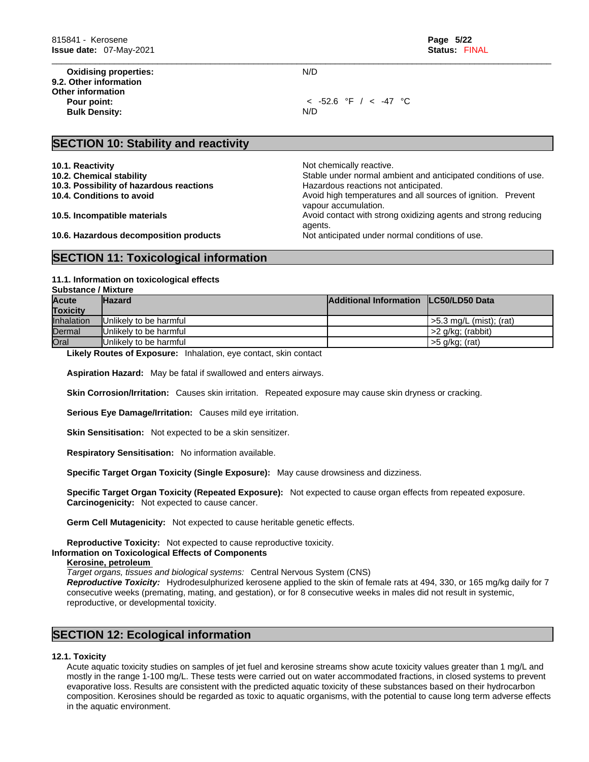**Oxidising properties:** N/D **9.2. Other information Other information Bulk Density:** N/D

**Pour point:** < -52.6 °F / < -47 °C

\_\_\_\_\_\_\_\_\_\_\_\_\_\_\_\_\_\_\_\_\_\_\_\_\_\_\_\_\_\_\_\_\_\_\_\_\_\_\_\_\_\_\_\_\_\_\_\_\_\_\_\_\_\_\_\_\_\_\_\_\_\_\_\_\_\_\_\_\_\_\_\_\_\_\_\_\_\_\_\_\_\_\_\_\_\_\_\_\_\_\_\_\_\_\_\_\_\_\_\_\_\_\_\_

## **SECTION 10: Stability and reactivity**

**10.1. Reactivity 10.1. Reactivity 10.1. Reactivity 10.1. Reactivity 10.1. Reactivity 10.1. Reactivity 10.1. Reactivity 10.1. Reactivity 10.1. Reactivity 10.1. Reactivity 10.1. 10.1.** 

- 
- **10.3. Possibility of hazardous reactions**
- 

**10.2. Chemical stability** Stable under normal ambient and anticipated conditions of use.<br>**10.3. Possibility of hazardous reactions Stable under state of the state of the state of the state of the state of the state of t 10.4. Conditions to avoid Avoid high temperatures and all sources of ignition. Prevent** vapour accumulation. **10.5. Incompatible materials and incompatible materials** Avoid contact with strong oxidizing agents and strong reducing agents.

**10.6. Hazardous decomposition products** Not anticipated under normal conditions of use.

# **SECTION 11: Toxicological information**

#### **11.1. Information on toxicologicaleffects**

| <b>Substance / Mixture</b> |
|----------------------------|
|----------------------------|

| <b>Acute</b>      | <b>Hazard</b>                  | <b>Additional Information LC50/LD50 Data</b> |                           |
|-------------------|--------------------------------|----------------------------------------------|---------------------------|
| <b>Toxicity</b>   |                                |                                              |                           |
| <b>Inhalation</b> | Unlikely to be harmful         |                                              | l >5.3 mg/L (mist): (rat) |
| Dermal            | IUnlikelv to be harmful        |                                              | >2 g/kg; (rabbit)         |
| <b>Oral</b>       | <b>IUnlikely to be harmful</b> |                                              | >5 g/kg; (rat)            |

**Likely Routes of Exposure:** Inhalation, eye contact, skin contact

**Aspiration Hazard:** May be fatal if swallowed and enters airways.

**Skin Corrosion/Irritation:** Causes skin irritation. Repeated exposure may cause skin dryness or cracking.

**Serious Eye Damage/Irritation:** Causes mild eye irritation.

**Skin Sensitisation:** Not expected to be a skin sensitizer.

**Respiratory Sensitisation:** No information available.

**Specific Target Organ Toxicity (Single Exposure):** May cause drowsiness and dizziness.

**Specific Target Organ Toxicity (Repeated Exposure):** Not expected to cause organ effects from repeated exposure. **Carcinogenicity:** Not expected to cause cancer.

**Germ Cell Mutagenicity:** Not expected to cause heritable genetic effects.

**Reproductive Toxicity:** Not expected to cause reproductive toxicity.

#### **Information on Toxicological Effects of Components**

#### **Kerosine, petroleum**

*Target organs, tissues and biological systems:* Central Nervous System (CNS)

*Reproductive Toxicity:* Hydrodesulphurized kerosene applied to the skin of female rats at 494,330, or 165 mg/kg daily for 7 consecutive weeks (premating, mating, and gestation), or for 8 consecutive weeks in males did not result in systemic, reproductive, or developmental toxicity.

# **SECTION 12: Ecological information**

#### **12.1. Toxicity**

Acute aquatic toxicity studies on samples of jet fuel and kerosine streams show acute toxicity values greater than 1 mg/L and mostly in the range 1-100 mg/L. These tests were carried out on water accommodated fractions, in closed systems to prevent evaporative loss. Results are consistent with the predicted aquatic toxicity of these substances based on their hydrocarbon composition. Kerosines should be regarded as toxic to aquatic organisms, with the potential to cause long term adverse effects in the aquatic environment.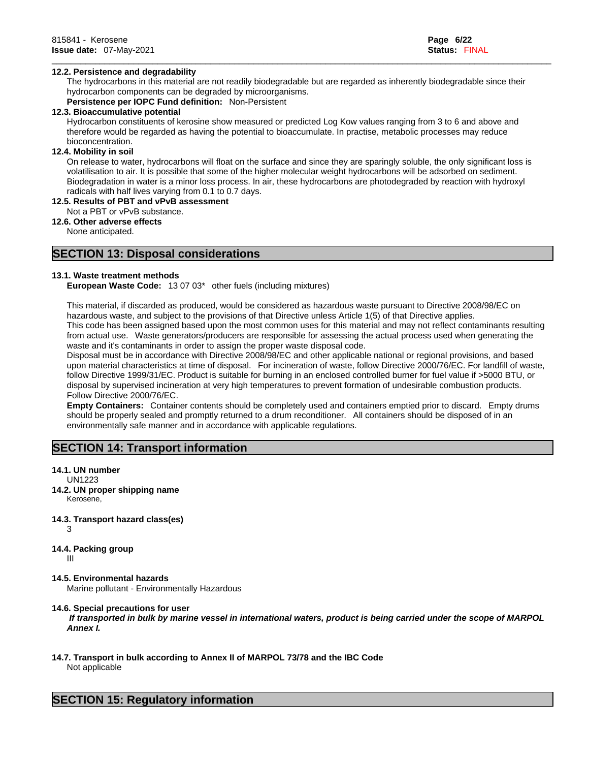## **12.2. Persistence and degradability**

The hydrocarbons in this material are not readily biodegradable but are regarded as inherently biodegradable since their hydrocarbon components can be degraded by microorganisms.

\_\_\_\_\_\_\_\_\_\_\_\_\_\_\_\_\_\_\_\_\_\_\_\_\_\_\_\_\_\_\_\_\_\_\_\_\_\_\_\_\_\_\_\_\_\_\_\_\_\_\_\_\_\_\_\_\_\_\_\_\_\_\_\_\_\_\_\_\_\_\_\_\_\_\_\_\_\_\_\_\_\_\_\_\_\_\_\_\_\_\_\_\_\_\_\_\_\_\_\_\_\_\_\_

**Persistence per IOPC Fund definition:** Non-Persistent

### **12.3. Bioaccumulative potential**

Hydrocarbon constituents of kerosine show measured or predicted Log Kow values ranging from 3 to 6 and above and therefore would be regarded as having the potential to bioaccumulate. In practise, metabolic processes may reduce bioconcentration.

# **12.4. Mobility in soil**

On release to water, hydrocarbons will float on the surface and since they are sparingly soluble, the only significant loss is volatilisation to air. It is possible that some of the higher molecular weight hydrocarbons will be adsorbed on sediment. Biodegradation in water is a minor loss process. In air, these hydrocarbons are photodegraded by reaction with hydroxyl radicals with half lives varying from 0.1 to 0.7 days.

# **12.5. Results of PBT and vPvB assessment**

# Not a PBT or vPvB substance.

**12.6. Other adverse effects**

None anticipated.

# **SECTION 13: Disposal considerations**

# **13.1. Waste treatment methods**

**European Waste Code:** 13 07 03\* other fuels (including mixtures)

This material, if discarded as produced, would be considered as hazardous waste pursuant to Directive 2008/98/EC on hazardous waste, and subject to the provisions of that Directive unless Article 1(5) of that Directive applies. This code has been assigned based upon the most common uses for this material and may not reflect contaminants resulting from actual use. Waste generators/producers are responsible for assessing the actual process used when generating the waste and it's contaminants in order to assign the proper waste disposal code.

Disposal must be in accordance with Directive 2008/98/EC and other applicable national or regional provisions, and based upon material characteristics at time of disposal. For incineration of waste, follow Directive 2000/76/EC. For landfill of waste, follow Directive 1999/31/EC. Product is suitable for burning in an enclosed controlled burner for fuel value if >5000 BTU, or disposal by supervised incineration at very high temperatures to prevent formation of undesirable combustion products. Follow Directive 2000/76/EC.

**Empty Containers:** Container contents should be completely used and containers emptied prior to discard. Empty drums should be properly sealed and promptly returned to a drum reconditioner. All containers should be disposed of in an environmentally safe manner and in accordance with applicable regulations.

# **SECTION 14: Transport information**

# **14.1. UN number**

UN1223

- **14.2. UN proper shipping name**  Kerosene,
- **14.3. Transport hazard class(es)**  3
- **14.4. Packing group**

III

# **14.5. Environmental hazards**

Marine pollutant - Environmentally Hazardous

# **14.6. Special precautions for user**

 *If transported in bulk by marine vessel in international waters, product is being carried under the scope of MARPOL Annex I.*

# **14.7. Transport in bulk according to Annex II of MARPOL 73/78 and the IBC Code**

Not applicable

# **SECTION 15: Regulatory information**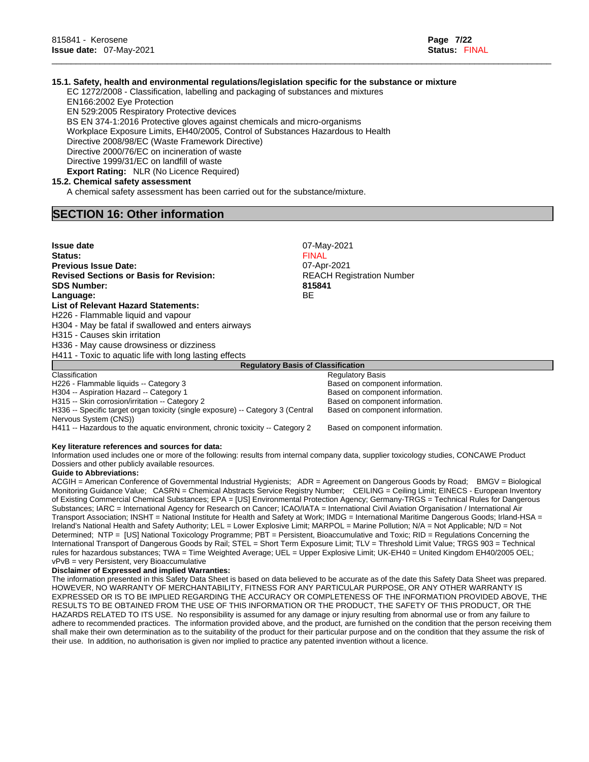# **15.1. Safety, health and environmental regulations/legislation specific for the substance or mixture**

\_\_\_\_\_\_\_\_\_\_\_\_\_\_\_\_\_\_\_\_\_\_\_\_\_\_\_\_\_\_\_\_\_\_\_\_\_\_\_\_\_\_\_\_\_\_\_\_\_\_\_\_\_\_\_\_\_\_\_\_\_\_\_\_\_\_\_\_\_\_\_\_\_\_\_\_\_\_\_\_\_\_\_\_\_\_\_\_\_\_\_\_\_\_\_\_\_\_\_\_\_\_\_\_

EC 1272/2008 - Classification, labelling and packaging of substances and mixtures EN166:2002 Eye Protection

EN 529:2005 Respiratory Protective devices

BS EN 374-1:2016 Protective gloves against chemicals and micro-organisms

Workplace Exposure Limits, EH40/2005, Control of Substances Hazardous to Health

Directive 2008/98/EC (Waste Framework Directive)

Directive 2000/76/EC on incineration of waste

Directive 1999/31/EC on landfill of waste

**Export Rating:** NLR (No Licence Required)

### **15.2. Chemical safety assessment**

A chemical safety assessment has been carried out for the substance/mixture.

# **SECTION 16: Other information**

| <b>Issue date</b>                                                               | 07-May-2021                      |  |  |  |  |
|---------------------------------------------------------------------------------|----------------------------------|--|--|--|--|
| <b>Status:</b>                                                                  | <b>FINAL</b>                     |  |  |  |  |
| <b>Previous Issue Date:</b>                                                     | 07-Apr-2021                      |  |  |  |  |
| <b>Revised Sections or Basis for Revision:</b>                                  | <b>REACH Registration Number</b> |  |  |  |  |
| <b>SDS Number:</b>                                                              | 815841                           |  |  |  |  |
| ВE<br>Language:                                                                 |                                  |  |  |  |  |
| <b>List of Relevant Hazard Statements:</b>                                      |                                  |  |  |  |  |
| H226 - Flammable liquid and vapour                                              |                                  |  |  |  |  |
| H304 - May be fatal if swallowed and enters airways                             |                                  |  |  |  |  |
| H315 - Causes skin irritation                                                   |                                  |  |  |  |  |
| H336 - May cause drowsiness or dizziness                                        |                                  |  |  |  |  |
| H411 - Toxic to aquatic life with long lasting effects                          |                                  |  |  |  |  |
| <b>Requlatory Basis of Classification</b>                                       |                                  |  |  |  |  |
| Classification                                                                  | <b>Regulatory Basis</b>          |  |  |  |  |
| H226 - Flammable liquids -- Category 3                                          | Based on component information.  |  |  |  |  |
| H304 -- Aspiration Hazard -- Category 1                                         | Based on component information.  |  |  |  |  |
| H315 -- Skin corrosion/irritation -- Category 2                                 | Based on component information.  |  |  |  |  |
| H336 -- Specific target organ toxicity (single exposure) -- Category 3 (Central | Based on component information.  |  |  |  |  |

H411 -- Hazardous to the aquatic environment, chronic toxicity -- Category 2 Based on component information.

#### **Key literature references and sources for data:**

Information used includes one or more of the following: results from internal company data, supplier toxicology studies, CONCAWE Product Dossiers and other publicly available resources.

#### **Guide to Abbreviations:**

Nervous System (CNS))

ACGIH = American Conference of Governmental Industrial Hygienists; ADR = Agreement on Dangerous Goods by Road; BMGV = Biological Monitoring Guidance Value; CASRN = Chemical Abstracts Service Registry Number; CEILING = Ceiling Limit; EINECS - European Inventory of Existing Commercial Chemical Substances; EPA = [US] Environmental Protection Agency; Germany-TRGS = Technical Rules for Dangerous Substances; IARC = International Agency for Research on Cancer; ICAO/IATA = International Civil Aviation Organisation / International Air Transport Association; INSHT = National Institute for Health and Safety at Work; IMDG = International Maritime Dangerous Goods; Irland-HSA = Ireland's National Health and Safety Authority; LEL = Lower Explosive Limit; MARPOL = Marine Pollution; N/A = Not Applicable; N/D = Not Determined; NTP = [US] National Toxicology Programme; PBT = Persistent, Bioaccumulative and Toxic; RID = Regulations Concerning the International Transport of Dangerous Goods by Rail; STEL = Short Term Exposure Limit; TLV = Threshold Limit Value; TRGS 903 = Technical rules for hazardous substances; TWA = Time Weighted Average; UEL = Upper Explosive Limit; UK-EH40 = United Kingdom EH40/2005 OEL; vPvB = very Persistent, very Bioaccumulative

### **Disclaimer of Expressed and implied Warranties:**

The information presented in this Safety Data Sheet is based on data believed to be accurate as of the date this Safety Data Sheet was prepared. HOWEVER, NO WARRANTY OF MERCHANTABILITY, FITNESS FOR ANY PARTICULAR PURPOSE, OR ANY OTHER WARRANTY IS EXPRESSED OR IS TO BE IMPLIED REGARDING THE ACCURACY OR COMPLETENESS OF THE INFORMATION PROVIDED ABOVE, THE RESULTS TO BE OBTAINED FROM THE USE OF THIS INFORMATION OR THE PRODUCT, THE SAFETY OF THIS PRODUCT, OR THE HAZARDS RELATED TO ITS USE. No responsibility is assumed for any damage or injury resulting from abnormal use or from any failure to adhere to recommended practices. The information provided above, and the product, are furnished on the condition that the person receiving them shall make their own determination as to the suitability of the product for their particular purpose and on the condition that they assume the risk of their use. In addition, no authorisation is given nor implied to practice any patented invention without a licence.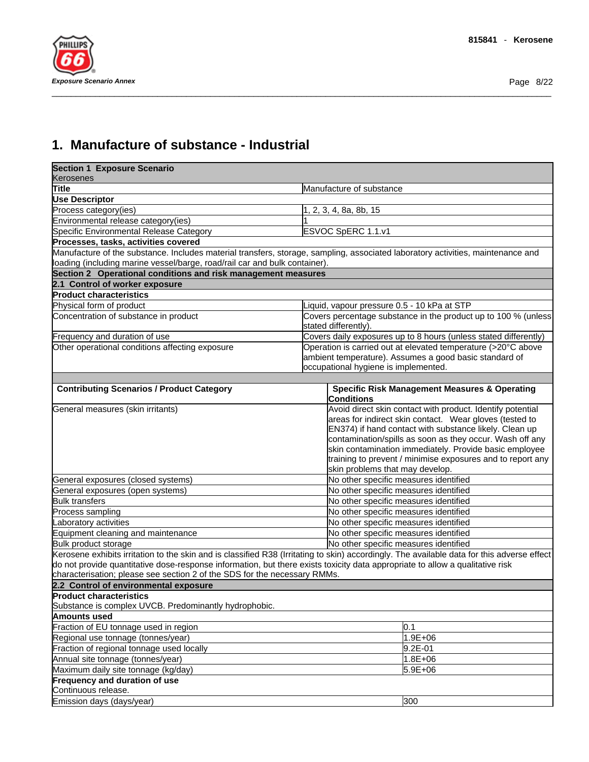

# **1. Manufacture of substance - Industrial**

| <b>Section 1 Exposure Scenario</b>                                         |                                                                                                                                             |
|----------------------------------------------------------------------------|---------------------------------------------------------------------------------------------------------------------------------------------|
| <b>Kerosenes</b>                                                           |                                                                                                                                             |
| Title                                                                      | Manufacture of substance                                                                                                                    |
| <b>Use Descriptor</b>                                                      |                                                                                                                                             |
| Process category (ies)                                                     | 1, 2, 3, 4, 8a, 8b, 15                                                                                                                      |
| Environmental release category(ies)                                        |                                                                                                                                             |
| Specific Environmental Release Category                                    | ESVOC SpERC 1.1.v1                                                                                                                          |
| Processes, tasks, activities covered                                       |                                                                                                                                             |
|                                                                            | Manufacture of the substance. Includes material transfers, storage, sampling, associated laboratory activities, maintenance and             |
| loading (including marine vessel/barge, road/rail car and bulk container). |                                                                                                                                             |
| Section 2 Operational conditions and risk management measures              |                                                                                                                                             |
| 2.1 Control of worker exposure                                             |                                                                                                                                             |
| <b>Product characteristics</b>                                             |                                                                                                                                             |
| Physical form of product                                                   | iquid, vapour pressure 0.5 - 10 kPa at STP                                                                                                  |
| Concentration of substance in product                                      | Covers percentage substance in the product up to 100 % (unless<br>stated differently).                                                      |
| Frequency and duration of use                                              | Covers daily exposures up to 8 hours (unless stated differently)                                                                            |
| Other operational conditions affecting exposure                            | Operation is carried out at elevated temperature (>20°C above                                                                               |
|                                                                            | ambient temperature). Assumes a good basic standard of                                                                                      |
|                                                                            | occupational hygiene is implemented.                                                                                                        |
|                                                                            |                                                                                                                                             |
| <b>Contributing Scenarios / Product Category</b>                           | <b>Specific Risk Management Measures &amp; Operating</b><br><b>Conditions</b>                                                               |
| General measures (skin irritants)                                          | Avoid direct skin contact with product. Identify potential                                                                                  |
|                                                                            | areas for indirect skin contact. Wear gloves (tested to                                                                                     |
|                                                                            | EN374) if hand contact with substance likely. Clean up                                                                                      |
|                                                                            | contamination/spills as soon as they occur. Wash off any                                                                                    |
|                                                                            | skin contamination immediately. Provide basic employee                                                                                      |
|                                                                            | training to prevent / minimise exposures and to report any                                                                                  |
|                                                                            | skin problems that may develop.                                                                                                             |
| General exposures (closed systems)                                         | No other specific measures identified                                                                                                       |
| General exposures (open systems)                                           | No other specific measures identified                                                                                                       |
| <b>Bulk transfers</b>                                                      | No other specific measures identified                                                                                                       |
| Process sampling                                                           | No other specific measures identified                                                                                                       |
| Laboratory activities                                                      | No other specific measures identified                                                                                                       |
| Equipment cleaning and maintenance                                         | No other specific measures identified                                                                                                       |
| Bulk product storage                                                       | No other specific measures identified                                                                                                       |
|                                                                            | Kerosene exhibits irritation to the skin and is classified R38 (Irritating to skin) accordingly. The available data for this adverse effect |
|                                                                            | do not provide quantitative dose-response information, but there exists toxicity data appropriate to allow a qualitative risk               |
| characterisation; please see section 2 of the SDS for the necessary RMMs.  |                                                                                                                                             |
| 2.2 Control of environmental exposure                                      |                                                                                                                                             |
| <b>Product characteristics</b>                                             |                                                                                                                                             |
| Substance is complex UVCB. Predominantly hydrophobic.                      |                                                                                                                                             |
| <b>Amounts used</b>                                                        |                                                                                                                                             |
| Fraction of EU tonnage used in region                                      | 0.1                                                                                                                                         |
| Regional use tonnage (tonnes/year)                                         | 1.9E+06                                                                                                                                     |
| Fraction of regional tonnage used locally                                  | 9.2E-01                                                                                                                                     |
| Annual site tonnage (tonnes/year)                                          | 1.8E+06                                                                                                                                     |
| Maximum daily site tonnage (kg/day)                                        | 5.9E+06                                                                                                                                     |
| <b>Frequency and duration of use</b><br>Continuous release.                |                                                                                                                                             |
| Emission days (days/year)                                                  | 300                                                                                                                                         |
|                                                                            |                                                                                                                                             |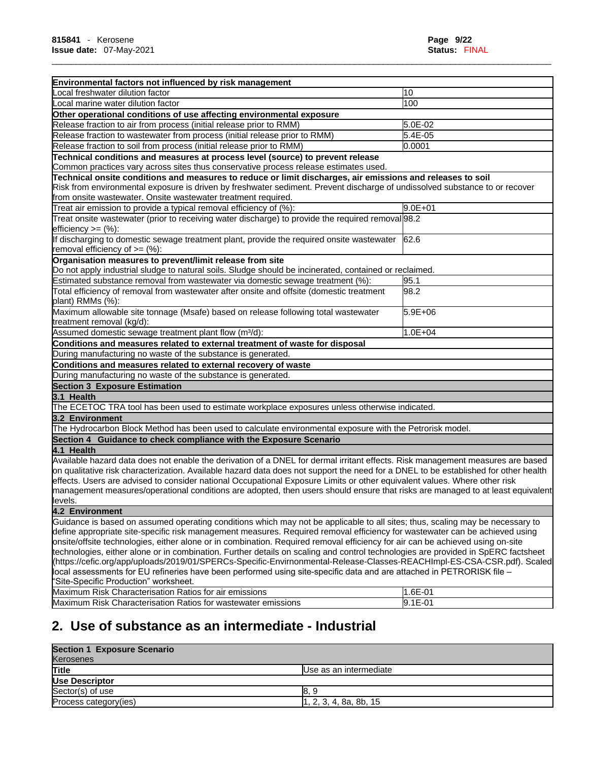٦

| Environmental factors not influenced by risk management                                                                                                                                                                                                                                                                                                                                                                                                                                                                                                                                                                                                                                         |                        |
|-------------------------------------------------------------------------------------------------------------------------------------------------------------------------------------------------------------------------------------------------------------------------------------------------------------------------------------------------------------------------------------------------------------------------------------------------------------------------------------------------------------------------------------------------------------------------------------------------------------------------------------------------------------------------------------------------|------------------------|
| ocal freshwater dilution factor                                                                                                                                                                                                                                                                                                                                                                                                                                                                                                                                                                                                                                                                 | 10                     |
| ocal marine water dilution factor                                                                                                                                                                                                                                                                                                                                                                                                                                                                                                                                                                                                                                                               | 100                    |
| Other operational conditions of use affecting environmental exposure                                                                                                                                                                                                                                                                                                                                                                                                                                                                                                                                                                                                                            |                        |
| Release fraction to air from process (initial release prior to RMM)                                                                                                                                                                                                                                                                                                                                                                                                                                                                                                                                                                                                                             | 5.0E-02                |
| Release fraction to wastewater from process (initial release prior to RMM)                                                                                                                                                                                                                                                                                                                                                                                                                                                                                                                                                                                                                      | 5.4E-05                |
| Release fraction to soil from process (initial release prior to RMM)                                                                                                                                                                                                                                                                                                                                                                                                                                                                                                                                                                                                                            | 0.0001                 |
| Technical conditions and measures at process level (source) to prevent release                                                                                                                                                                                                                                                                                                                                                                                                                                                                                                                                                                                                                  |                        |
| Common practices vary across sites thus conservative process release estimates used.                                                                                                                                                                                                                                                                                                                                                                                                                                                                                                                                                                                                            |                        |
| Technical onsite conditions and measures to reduce or limit discharges, air emissions and releases to soil<br>Risk from environmental exposure is driven by freshwater sediment. Prevent discharge of undissolved substance to or recover<br>from onsite wastewater. Onsite wastewater treatment required.                                                                                                                                                                                                                                                                                                                                                                                      |                        |
| Treat air emission to provide a typical removal efficiency of (%):                                                                                                                                                                                                                                                                                                                                                                                                                                                                                                                                                                                                                              | $9.0E + 01$            |
| Treat onsite wastewater (prior to receiving water discharge) to provide the required removal 98.2<br>efficiency $>=$ $(\%)$ :                                                                                                                                                                                                                                                                                                                                                                                                                                                                                                                                                                   |                        |
| If discharging to domestic sewage treatment plant, provide the required onsite wastewater<br>removal efficiency of $>=$ (%):                                                                                                                                                                                                                                                                                                                                                                                                                                                                                                                                                                    | 62.6                   |
| Organisation measures to prevent/limit release from site                                                                                                                                                                                                                                                                                                                                                                                                                                                                                                                                                                                                                                        |                        |
| Do not apply industrial sludge to natural soils. Sludge should be incinerated, contained or reclaimed.                                                                                                                                                                                                                                                                                                                                                                                                                                                                                                                                                                                          |                        |
| Estimated substance removal from wastewater via domestic sewage treatment (%):                                                                                                                                                                                                                                                                                                                                                                                                                                                                                                                                                                                                                  | 95.1                   |
| Total efficiency of removal from wastewater after onsite and offsite (domestic treatment                                                                                                                                                                                                                                                                                                                                                                                                                                                                                                                                                                                                        | 98.2                   |
| plant) RMMs (%):                                                                                                                                                                                                                                                                                                                                                                                                                                                                                                                                                                                                                                                                                |                        |
| Maximum allowable site tonnage (Msafe) based on release following total wastewater<br>treatment removal (kg/d):                                                                                                                                                                                                                                                                                                                                                                                                                                                                                                                                                                                 | $\overline{5.9}E + 06$ |
| Assumed domestic sewage treatment plant flow (m <sup>3</sup> /d):                                                                                                                                                                                                                                                                                                                                                                                                                                                                                                                                                                                                                               | $1.0E + 04$            |
| Conditions and measures related to external treatment of waste for disposal                                                                                                                                                                                                                                                                                                                                                                                                                                                                                                                                                                                                                     |                        |
| During manufacturing no waste of the substance is generated.                                                                                                                                                                                                                                                                                                                                                                                                                                                                                                                                                                                                                                    |                        |
| Conditions and measures related to external recovery of waste                                                                                                                                                                                                                                                                                                                                                                                                                                                                                                                                                                                                                                   |                        |
| During manufacturing no waste of the substance is generated.                                                                                                                                                                                                                                                                                                                                                                                                                                                                                                                                                                                                                                    |                        |
|                                                                                                                                                                                                                                                                                                                                                                                                                                                                                                                                                                                                                                                                                                 |                        |
| Section 3 Exposure Estimation<br>3.1 Health                                                                                                                                                                                                                                                                                                                                                                                                                                                                                                                                                                                                                                                     |                        |
| The ECETOC TRA tool has been used to estimate workplace exposures unless otherwise indicated.                                                                                                                                                                                                                                                                                                                                                                                                                                                                                                                                                                                                   |                        |
| 3.2 Environment                                                                                                                                                                                                                                                                                                                                                                                                                                                                                                                                                                                                                                                                                 |                        |
| The Hydrocarbon Block Method has been used to calculate environmental exposure with the Petrorisk model.                                                                                                                                                                                                                                                                                                                                                                                                                                                                                                                                                                                        |                        |
| Section 4 Guidance to check compliance with the Exposure Scenario                                                                                                                                                                                                                                                                                                                                                                                                                                                                                                                                                                                                                               |                        |
| 4.1 Health                                                                                                                                                                                                                                                                                                                                                                                                                                                                                                                                                                                                                                                                                      |                        |
| Available hazard data does not enable the derivation of a DNEL for dermal irritant effects. Risk management measures are based<br>on qualitative risk characterization. Available hazard data does not support the need for a DNEL to be established for other health<br>effects. Users are advised to consider national Occupational Exposure Limits or other equivalent values. Where other risk<br>management measures/operational conditions are adopted, then users should ensure that risks are managed to at least equivalent<br>levels.                                                                                                                                                 |                        |
| 4.2 Environment                                                                                                                                                                                                                                                                                                                                                                                                                                                                                                                                                                                                                                                                                 |                        |
| Guidance is based on assumed operating conditions which may not be applicable to all sites; thus, scaling may be necessary to                                                                                                                                                                                                                                                                                                                                                                                                                                                                                                                                                                   |                        |
| define appropriate site-specific risk management measures. Required removal efficiency for wastewater can be achieved using<br>onsite/offsite technologies, either alone or in combination. Required removal efficiency for air can be achieved using on-site<br>technologies, either alone or in combination. Further details on scaling and control technologies are provided in SpERC factsheet<br>(https://cefic.org/app/uploads/2019/01/SPERCs-Specific-Envirnonmental-Release-Classes-REACHImpl-ES-CSA-CSR.pdf). Scaled<br>local assessments for EU refineries have been performed using site-specific data and are attached in PETRORISK file -<br>"Site-Specific Production" worksheet. |                        |
| Maximum Risk Characterisation Ratios for air emissions                                                                                                                                                                                                                                                                                                                                                                                                                                                                                                                                                                                                                                          | 1.6E-01                |
| Maximum Risk Characterisation Ratios for wastewater emissions                                                                                                                                                                                                                                                                                                                                                                                                                                                                                                                                                                                                                                   | 9.1E-01                |
|                                                                                                                                                                                                                                                                                                                                                                                                                                                                                                                                                                                                                                                                                                 |                        |

\_\_\_\_\_\_\_\_\_\_\_\_\_\_\_\_\_\_\_\_\_\_\_\_\_\_\_\_\_\_\_\_\_\_\_\_\_\_\_\_\_\_\_\_\_\_\_\_\_\_\_\_\_\_\_\_\_\_\_\_\_\_\_\_\_\_\_\_\_\_\_\_\_\_\_\_\_\_\_\_\_\_\_\_\_\_\_\_\_\_\_\_\_\_\_\_\_\_\_\_\_\_\_\_

# **2. Use of substance as an intermediate - Industrial**

# **Section 1 Exposure Scenario**

| <b>POCCHOILL LADOSULE OCCHAILD</b> |                         |  |  |  |
|------------------------------------|-------------------------|--|--|--|
| Kerosenes                          |                         |  |  |  |
| <b>Title</b>                       | Use as an intermediate  |  |  |  |
| Use Descriptor                     |                         |  |  |  |
| Sector(s) of use                   |                         |  |  |  |
| Process category (ies)             | l1, 2, 3, 4, 8a, 8b, 15 |  |  |  |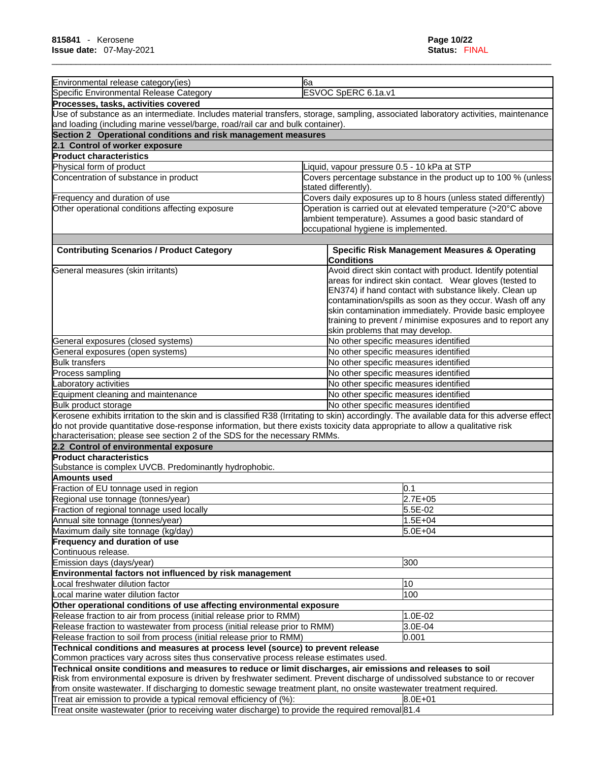| Environmental release category(ies)                                                                                                                                                                                                                                                                                                                                                                | 6a                   |                                                                                                                                                                                                                                                                                                                                                                                                        |
|----------------------------------------------------------------------------------------------------------------------------------------------------------------------------------------------------------------------------------------------------------------------------------------------------------------------------------------------------------------------------------------------------|----------------------|--------------------------------------------------------------------------------------------------------------------------------------------------------------------------------------------------------------------------------------------------------------------------------------------------------------------------------------------------------------------------------------------------------|
| Specific Environmental Release Category                                                                                                                                                                                                                                                                                                                                                            |                      | ESVOC SpERC 6.1a.v1                                                                                                                                                                                                                                                                                                                                                                                    |
| Processes, tasks, activities covered                                                                                                                                                                                                                                                                                                                                                               |                      |                                                                                                                                                                                                                                                                                                                                                                                                        |
| Use of substance as an intermediate. Includes material transfers, storage, sampling, associated laboratory activities, maintenance                                                                                                                                                                                                                                                                 |                      |                                                                                                                                                                                                                                                                                                                                                                                                        |
| and loading (including marine vessel/barge, road/rail car and bulk container).                                                                                                                                                                                                                                                                                                                     |                      |                                                                                                                                                                                                                                                                                                                                                                                                        |
| Section 2 Operational conditions and risk management measures                                                                                                                                                                                                                                                                                                                                      |                      |                                                                                                                                                                                                                                                                                                                                                                                                        |
| 2.1 Control of worker exposure                                                                                                                                                                                                                                                                                                                                                                     |                      |                                                                                                                                                                                                                                                                                                                                                                                                        |
| <b>Product characteristics</b>                                                                                                                                                                                                                                                                                                                                                                     |                      |                                                                                                                                                                                                                                                                                                                                                                                                        |
| Physical form of product                                                                                                                                                                                                                                                                                                                                                                           |                      | iquid, vapour pressure 0.5 - 10 kPa at STP                                                                                                                                                                                                                                                                                                                                                             |
| Concentration of substance in product                                                                                                                                                                                                                                                                                                                                                              |                      | Covers percentage substance in the product up to 100 % (unless                                                                                                                                                                                                                                                                                                                                         |
|                                                                                                                                                                                                                                                                                                                                                                                                    | stated differently). | Covers daily exposures up to 8 hours (unless stated differently)                                                                                                                                                                                                                                                                                                                                       |
| Frequency and duration of use<br>Other operational conditions affecting exposure                                                                                                                                                                                                                                                                                                                   |                      | Operation is carried out at elevated temperature (>20°C above                                                                                                                                                                                                                                                                                                                                          |
|                                                                                                                                                                                                                                                                                                                                                                                                    |                      | ambient temperature). Assumes a good basic standard of                                                                                                                                                                                                                                                                                                                                                 |
|                                                                                                                                                                                                                                                                                                                                                                                                    |                      | occupational hygiene is implemented.                                                                                                                                                                                                                                                                                                                                                                   |
|                                                                                                                                                                                                                                                                                                                                                                                                    |                      |                                                                                                                                                                                                                                                                                                                                                                                                        |
| <b>Contributing Scenarios / Product Category</b>                                                                                                                                                                                                                                                                                                                                                   |                      | <b>Specific Risk Management Measures &amp; Operating</b>                                                                                                                                                                                                                                                                                                                                               |
|                                                                                                                                                                                                                                                                                                                                                                                                    |                      | Conditions                                                                                                                                                                                                                                                                                                                                                                                             |
| General measures (skin irritants)                                                                                                                                                                                                                                                                                                                                                                  |                      | Avoid direct skin contact with product. Identify potential<br>areas for indirect skin contact. Wear gloves (tested to<br>EN374) if hand contact with substance likely. Clean up<br>contamination/spills as soon as they occur. Wash off any<br>skin contamination immediately. Provide basic employee<br>training to prevent / minimise exposures and to report any<br>skin problems that may develop. |
| General exposures (closed systems)                                                                                                                                                                                                                                                                                                                                                                 |                      | No other specific measures identified                                                                                                                                                                                                                                                                                                                                                                  |
| General exposures (open systems)                                                                                                                                                                                                                                                                                                                                                                   |                      | No other specific measures identified                                                                                                                                                                                                                                                                                                                                                                  |
| <b>Bulk transfers</b>                                                                                                                                                                                                                                                                                                                                                                              |                      | No other specific measures identified                                                                                                                                                                                                                                                                                                                                                                  |
| Process sampling                                                                                                                                                                                                                                                                                                                                                                                   |                      | No other specific measures identified                                                                                                                                                                                                                                                                                                                                                                  |
| Laboratory activities                                                                                                                                                                                                                                                                                                                                                                              |                      | No other specific measures identified                                                                                                                                                                                                                                                                                                                                                                  |
| Equipment cleaning and maintenance                                                                                                                                                                                                                                                                                                                                                                 |                      | No other specific measures identified                                                                                                                                                                                                                                                                                                                                                                  |
| Bulk product storage                                                                                                                                                                                                                                                                                                                                                                               |                      | No other specific measures identified                                                                                                                                                                                                                                                                                                                                                                  |
| Kerosene exhibits irritation to the skin and is classified R38 (Irritating to skin) accordingly. The available data for this adverse effect<br>do not provide quantitative dose-response information, but there exists toxicity data appropriate to allow a qualitative risk<br>characterisation; please see section 2 of the SDS for the necessary RMMs.<br>2.2 Control of environmental exposure |                      |                                                                                                                                                                                                                                                                                                                                                                                                        |
| <b>Product characteristics</b>                                                                                                                                                                                                                                                                                                                                                                     |                      |                                                                                                                                                                                                                                                                                                                                                                                                        |
| Substance is complex UVCB. Predominantly hydrophobic.                                                                                                                                                                                                                                                                                                                                              |                      |                                                                                                                                                                                                                                                                                                                                                                                                        |
| Amounts used                                                                                                                                                                                                                                                                                                                                                                                       |                      |                                                                                                                                                                                                                                                                                                                                                                                                        |
| Fraction of EU tonnage used in region                                                                                                                                                                                                                                                                                                                                                              |                      | 0.1                                                                                                                                                                                                                                                                                                                                                                                                    |
| Regional use tonnage (tonnes/year)                                                                                                                                                                                                                                                                                                                                                                 |                      | $2.7E + 05$                                                                                                                                                                                                                                                                                                                                                                                            |
| Fraction of regional tonnage used locally                                                                                                                                                                                                                                                                                                                                                          |                      | 5.5E-02                                                                                                                                                                                                                                                                                                                                                                                                |
| Annual site tonnage (tonnes/year)                                                                                                                                                                                                                                                                                                                                                                  |                      | $1.5E + 04$                                                                                                                                                                                                                                                                                                                                                                                            |
| Maximum daily site tonnage (kg/day)<br><b>Frequency and duration of use</b>                                                                                                                                                                                                                                                                                                                        |                      | 5.0E+04                                                                                                                                                                                                                                                                                                                                                                                                |
| Continuous release.                                                                                                                                                                                                                                                                                                                                                                                |                      |                                                                                                                                                                                                                                                                                                                                                                                                        |
| Emission days (days/year)                                                                                                                                                                                                                                                                                                                                                                          |                      | 300                                                                                                                                                                                                                                                                                                                                                                                                    |
| Environmental factors not influenced by risk management                                                                                                                                                                                                                                                                                                                                            |                      |                                                                                                                                                                                                                                                                                                                                                                                                        |
| Local freshwater dilution factor                                                                                                                                                                                                                                                                                                                                                                   |                      | 10                                                                                                                                                                                                                                                                                                                                                                                                     |
| Local marine water dilution factor                                                                                                                                                                                                                                                                                                                                                                 |                      | 100                                                                                                                                                                                                                                                                                                                                                                                                    |
| Other operational conditions of use affecting environmental exposure                                                                                                                                                                                                                                                                                                                               |                      |                                                                                                                                                                                                                                                                                                                                                                                                        |
| Release fraction to air from process (initial release prior to RMM)                                                                                                                                                                                                                                                                                                                                |                      | 1.0E-02                                                                                                                                                                                                                                                                                                                                                                                                |
| Release fraction to wastewater from process (initial release prior to RMM)                                                                                                                                                                                                                                                                                                                         |                      | 3.0E-04                                                                                                                                                                                                                                                                                                                                                                                                |
| Release fraction to soil from process (initial release prior to RMM)                                                                                                                                                                                                                                                                                                                               |                      | 0.001                                                                                                                                                                                                                                                                                                                                                                                                  |
| Technical conditions and measures at process level (source) to prevent release                                                                                                                                                                                                                                                                                                                     |                      |                                                                                                                                                                                                                                                                                                                                                                                                        |
| Common practices vary across sites thus conservative process release estimates used.<br>Technical onsite conditions and measures to reduce or limit discharges, air emissions and releases to soil                                                                                                                                                                                                 |                      |                                                                                                                                                                                                                                                                                                                                                                                                        |
| Risk from environmental exposure is driven by freshwater sediment. Prevent discharge of undissolved substance to or recover                                                                                                                                                                                                                                                                        |                      |                                                                                                                                                                                                                                                                                                                                                                                                        |
| from onsite wastewater. If discharging to domestic sewage treatment plant, no onsite wastewater treatment required.                                                                                                                                                                                                                                                                                |                      |                                                                                                                                                                                                                                                                                                                                                                                                        |
| Treat air emission to provide a typical removal efficiency of (%):                                                                                                                                                                                                                                                                                                                                 |                      | 8.0E+01                                                                                                                                                                                                                                                                                                                                                                                                |
| Treat onsite wastewater (prior to receiving water discharge) to provide the required removal 81.4                                                                                                                                                                                                                                                                                                  |                      |                                                                                                                                                                                                                                                                                                                                                                                                        |
|                                                                                                                                                                                                                                                                                                                                                                                                    |                      |                                                                                                                                                                                                                                                                                                                                                                                                        |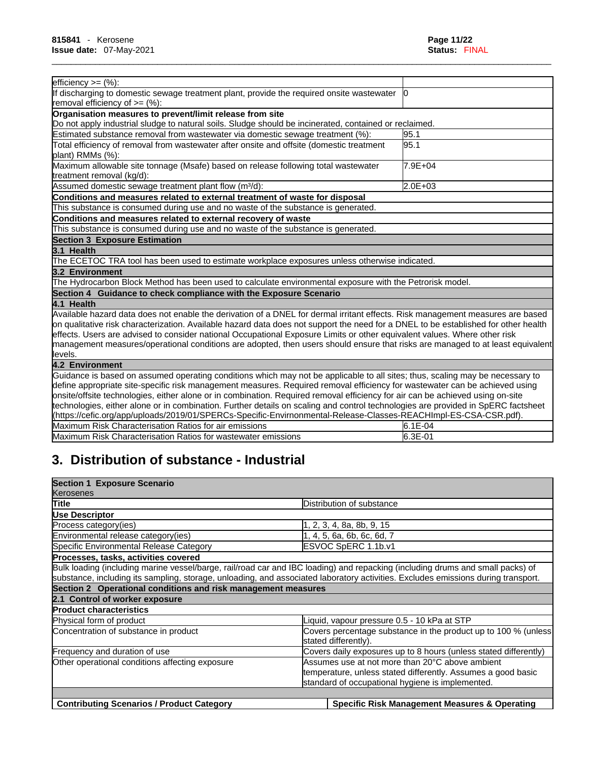| efficiency $>=$ $(\%):$                                                                                                             |         |
|-------------------------------------------------------------------------------------------------------------------------------------|---------|
| If discharging to domestic sewage treatment plant, provide the required onsite wastewater                                           |         |
| removal efficiency of $=$ (%):                                                                                                      |         |
| Organisation measures to prevent/limit release from site                                                                            |         |
| Do not apply industrial sludge to natural soils. Sludge should be incinerated, contained or reclaimed.                              |         |
| Estimated substance removal from wastewater via domestic sewage treatment (%):                                                      | 95.1    |
| Total efficiency of removal from wastewater after onsite and offsite (domestic treatment                                            | 95.1    |
| plant) RMMs (%):                                                                                                                    |         |
| Maximum allowable site tonnage (Msafe) based on release following total wastewater                                                  | 7.9E+04 |
| treatment removal (kg/d):                                                                                                           |         |
| Assumed domestic sewage treatment plant flow (m <sup>3</sup> /d):                                                                   | 2.0E+03 |
| Conditions and measures related to external treatment of waste for disposal                                                         |         |
| This substance is consumed during use and no waste of the substance is generated.                                                   |         |
| Conditions and measures related to external recovery of waste                                                                       |         |
| This substance is consumed during use and no waste of the substance is generated.                                                   |         |
| <b>Section 3 Exposure Estimation</b>                                                                                                |         |
| 3.1 Health                                                                                                                          |         |
| The ECETOC TRA tool has been used to estimate workplace exposures unless otherwise indicated.                                       |         |
| 3.2 Environment                                                                                                                     |         |
| The Hydrocarbon Block Method has been used to calculate environmental exposure with the Petrorisk model.                            |         |
| Section 4 Guidance to check compliance with the Exposure Scenario                                                                   |         |
| 4.1 Health                                                                                                                          |         |
| Available hazard data does not enable the derivation of a DNEL for dermal irritant effects. Risk management measures are based      |         |
| on qualitative risk characterization. Available hazard data does not support the need for a DNEL to be established for other health |         |
| effects. Users are advised to consider national Occupational Exposure Limits or other equivalent values. Where other risk           |         |
| management measures/operational conditions are adopted, then users should ensure that risks are managed to at least equivalent      |         |
| llevels.                                                                                                                            |         |
| 4.2 Environment                                                                                                                     |         |
| Guidance is based on assumed operating conditions which may not be applicable to all sites; thus, scaling may be necessary to       |         |
| define appropriate site-specific risk management measures. Required removal efficiency for wastewater can be achieved using         |         |
| onsite/offsite technologies, either alone or in combination. Required removal efficiency for air can be achieved using on-site      |         |
| technologies, either alone or in combination. Further details on scaling and control technologies are provided in SpERC factsheet   |         |
| (https://cefic.org/app/uploads/2019/01/SPERCs-Specific-Envirnonmental-Release-Classes-REACHImpl-ES-CSA-CSR.pdf).                    |         |

| Maxin<br>Characterisation<br>mum<br>Ratios<br>Risk | air emissions<br>tor             | --<br>--<br>. 12<br>--<br>u      |  |
|----------------------------------------------------|----------------------------------|----------------------------------|--|
| Maxin<br>Characterisation<br>⊀atios<br>num<br>Risk | .∩wastewater<br>emissions<br>tor | $\sim$ $\sim$<br>…<br>∟ט.טו<br>ັ |  |

# **3. Distribution of substance - Industrial**

| <b>Section 1 Exposure Scenario</b>                            |                                                                                                                                                                     |  |
|---------------------------------------------------------------|---------------------------------------------------------------------------------------------------------------------------------------------------------------------|--|
| Kerosenes                                                     |                                                                                                                                                                     |  |
| Title                                                         | Distribution of substance                                                                                                                                           |  |
| Use Descriptor                                                |                                                                                                                                                                     |  |
| Process category(ies)                                         | l, 2, 3, 4, 8a, 8b, 9, 15                                                                                                                                           |  |
| Environmental release category (ies)                          | , 4, 5, 6a, 6b, 6c, 6d, 7                                                                                                                                           |  |
| Specific Environmental Release Category                       | ESVOC SpERC 1.1b.v1                                                                                                                                                 |  |
| Processes, tasks, activities covered                          |                                                                                                                                                                     |  |
|                                                               | Bulk loading (including marine vessel/barge, rail/road car and IBC loading) and repacking (including drums and small packs) of                                      |  |
|                                                               | substance, including its sampling, storage, unloading, and associated laboratory activities. Excludes emissions during transport.                                   |  |
| Section 2 Operational conditions and risk management measures |                                                                                                                                                                     |  |
| 2.1 Control of worker exposure                                |                                                                                                                                                                     |  |
| <b>Product characteristics</b>                                |                                                                                                                                                                     |  |
| Physical form of product                                      | iquid, vapour pressure 0.5 - 10 kPa at STP                                                                                                                          |  |
| Concentration of substance in product                         | Covers percentage substance in the product up to 100 % (unless<br>stated differently).                                                                              |  |
| Frequency and duration of use                                 | Covers daily exposures up to 8 hours (unless stated differently)                                                                                                    |  |
| Other operational conditions affecting exposure               | Assumes use at not more than 20°C above ambient<br>temperature, unless stated differently. Assumes a good basic<br>standard of occupational hygiene is implemented. |  |
|                                                               |                                                                                                                                                                     |  |
| <b>Contributing Scenarios / Product Category</b>              | <b>Specific Risk Management Measures &amp; Operating</b>                                                                                                            |  |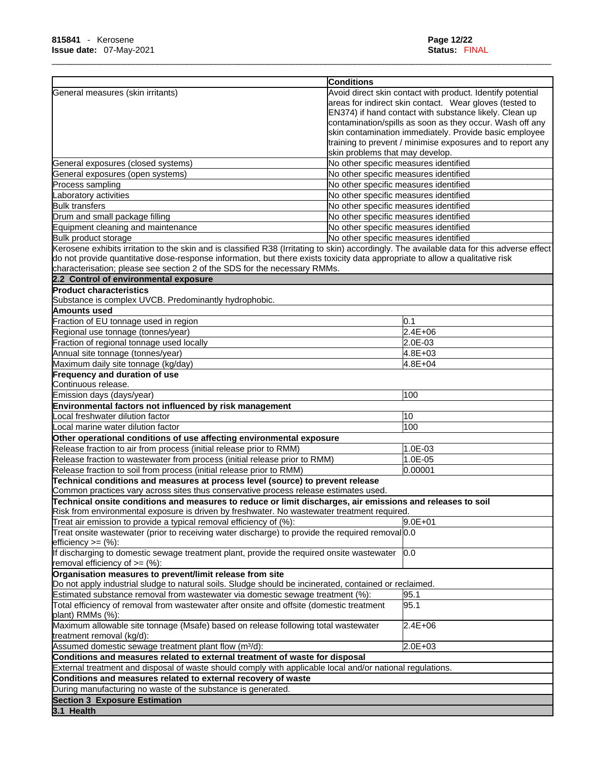|                                                                                                                                             | <b>Conditions</b>                                          |
|---------------------------------------------------------------------------------------------------------------------------------------------|------------------------------------------------------------|
| General measures (skin irritants)                                                                                                           | Avoid direct skin contact with product. Identify potential |
|                                                                                                                                             | areas for indirect skin contact. Wear gloves (tested to    |
|                                                                                                                                             | EN374) if hand contact with substance likely. Clean up     |
|                                                                                                                                             | contamination/spills as soon as they occur. Wash off any   |
|                                                                                                                                             | skin contamination immediately. Provide basic employee     |
|                                                                                                                                             | training to prevent / minimise exposures and to report any |
|                                                                                                                                             | skin problems that may develop.                            |
| General exposures (closed systems)                                                                                                          | No other specific measures identified                      |
| General exposures (open systems)                                                                                                            | No other specific measures identified                      |
| Process sampling                                                                                                                            | No other specific measures identified                      |
| Laboratory activities                                                                                                                       | No other specific measures identified                      |
| <b>Bulk transfers</b>                                                                                                                       | No other specific measures identified                      |
| Drum and small package filling                                                                                                              | No other specific measures identified                      |
| Equipment cleaning and maintenance                                                                                                          | No other specific measures identified                      |
| Bulk product storage                                                                                                                        | No other specific measures identified                      |
| Kerosene exhibits irritation to the skin and is classified R38 (Irritating to skin) accordingly. The available data for this adverse effect |                                                            |
| do not provide quantitative dose-response information, but there exists toxicity data appropriate to allow a qualitative risk               |                                                            |
| characterisation; please see section 2 of the SDS for the necessary RMMs.                                                                   |                                                            |
| 2.2 Control of environmental exposure                                                                                                       |                                                            |
| <b>Product characteristics</b>                                                                                                              |                                                            |
|                                                                                                                                             |                                                            |
| Substance is complex UVCB. Predominantly hydrophobic.                                                                                       |                                                            |
| Amounts used                                                                                                                                |                                                            |
| Fraction of EU tonnage used in region                                                                                                       | 0.1                                                        |
| Regional use tonnage (tonnes/year)                                                                                                          | $2.4E + 06$                                                |
| Fraction of regional tonnage used locally                                                                                                   | 2.0E-03                                                    |
| Annual site tonnage (tonnes/year)                                                                                                           | 4.8E+03                                                    |
| Maximum daily site tonnage (kg/day)                                                                                                         | 4.8E+04                                                    |
| Frequency and duration of use                                                                                                               |                                                            |
| Continuous release.                                                                                                                         |                                                            |
| Emission days (days/year)                                                                                                                   | 100                                                        |
| Environmental factors not influenced by risk management                                                                                     |                                                            |
| Local freshwater dilution factor                                                                                                            | 10                                                         |
| ocal marine water dilution factor                                                                                                           | 100                                                        |
| Other operational conditions of use affecting environmental exposure                                                                        |                                                            |
| Release fraction to air from process (initial release prior to RMM)                                                                         | 1.0E-03                                                    |
| Release fraction to wastewater from process (initial release prior to RMM)                                                                  | 1.0E-05                                                    |
| Release fraction to soil from process (initial release prior to RMM)                                                                        | 0.00001                                                    |
| Technical conditions and measures at process level (source) to prevent release                                                              |                                                            |
| Common practices vary across sites thus conservative process release estimates used.                                                        |                                                            |
| Technical onsite conditions and measures to reduce or limit discharges, air emissions and releases to soil                                  |                                                            |
| Risk from environmental exposure is driven by freshwater. No wastewater treatment required.                                                 |                                                            |
| Treat air emission to provide a typical removal efficiency of $(\%)$ :                                                                      | $9.0E + 01$                                                |
| Treat onsite wastewater (prior to receiving water discharge) to provide the required removal 0.0                                            |                                                            |
| efficiency $>=$ $(\%)$ :                                                                                                                    |                                                            |
| If discharging to domestic sewage treatment plant, provide the required onsite wastewater                                                   | 0.0                                                        |
| removal efficiency of $\geq=(\%)$ :                                                                                                         |                                                            |
| Organisation measures to prevent/limit release from site                                                                                    |                                                            |
| Do not apply industrial sludge to natural soils. Sludge should be incinerated, contained or reclaimed.                                      |                                                            |
| Estimated substance removal from wastewater via domestic sewage treatment (%):                                                              | 95.1                                                       |
|                                                                                                                                             | 95.1                                                       |
| Total efficiency of removal from wastewater after onsite and offsite (domestic treatment<br>plant) RMMs (%):                                |                                                            |
| Maximum allowable site tonnage (Msafe) based on release following total wastewater<br>treatment removal (kg/d):                             | 2.4E+06                                                    |
| Assumed domestic sewage treatment plant flow (m <sup>3</sup> /d):                                                                           | 2.0E+03                                                    |
| Conditions and measures related to external treatment of waste for disposal                                                                 |                                                            |
| External treatment and disposal of waste should comply with applicable local and/or national regulations.                                   |                                                            |
| Conditions and measures related to external recovery of waste                                                                               |                                                            |
| During manufacturing no waste of the substance is generated.                                                                                |                                                            |
| <b>Section 3 Exposure Estimation</b>                                                                                                        |                                                            |
| 3.1 Health                                                                                                                                  |                                                            |
|                                                                                                                                             |                                                            |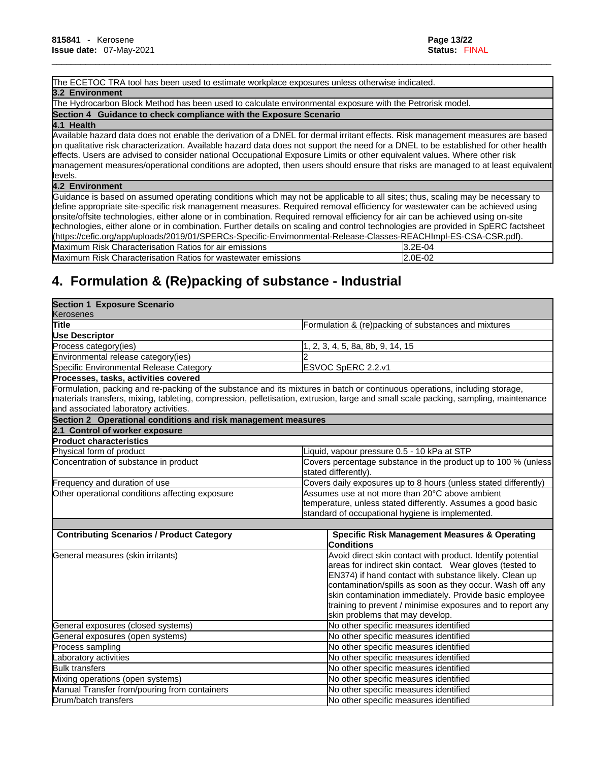### The ECETOC TRA tool has been used to estimate workplace exposures unless otherwise indicated.

#### **3.2 Environment**

The Hydrocarbon Block Method has been used to calculate environmental exposure with the Petrorisk model. **Section 4 Guidance to check compliance with the Exposure Scenario**

#### **4.1 Health**

Available hazard data does not enable the derivation of a DNEL for dermal irritant effects. Risk management measures are based on qualitative risk characterization. Available hazard data does not support the need for a DNEL to be established for other health effects. Users are advised to consider national Occupational Exposure Limits or other equivalent values. Where other risk management measures/operational conditions are adopted, then users should ensure that risks are managed to at least equivalent levels.

\_\_\_\_\_\_\_\_\_\_\_\_\_\_\_\_\_\_\_\_\_\_\_\_\_\_\_\_\_\_\_\_\_\_\_\_\_\_\_\_\_\_\_\_\_\_\_\_\_\_\_\_\_\_\_\_\_\_\_\_\_\_\_\_\_\_\_\_\_\_\_\_\_\_\_\_\_\_\_\_\_\_\_\_\_\_\_\_\_\_\_\_\_\_\_\_\_\_\_\_\_\_\_\_

#### **4.2 Environment**

Guidance is based on assumed operating conditions which may not be applicable to all sites; thus, scaling may be necessary to define appropriate site-specific risk management measures. Required removal efficiency for wastewater can be achieved using onsite/offsite technologies, either alone or in combination. Required removal efficiency for air can be achieved using on-site technologies, either alone or in combination. Further details on scaling and control technologies are provided in SpERC factsheet (https://cefic.org/app/uploads/2019/01/SPERCs-Specific-Envirnonmental-Release-Classes-REACHImpl-ES-CSA-CSR.pdf). Maximum Risk Characterisation Ratios for air emissions 3.2E-04 Maximum Risk Characterisation Ratios for wastewater emissions 2002-02

# **4. Formulation & (Re)packing of substance - Industrial**

| <b>Section 1 Exposure Scenario</b>                            |                                                                                                                                     |  |
|---------------------------------------------------------------|-------------------------------------------------------------------------------------------------------------------------------------|--|
| Kerosenes                                                     |                                                                                                                                     |  |
| Title                                                         | Formulation & (re)packing of substances and mixtures                                                                                |  |
| <b>Use Descriptor</b>                                         |                                                                                                                                     |  |
| Process category (ies)                                        | 1, 2, 3, 4, 5, 8a, 8b, 9, 14, 15                                                                                                    |  |
| Environmental release category(ies)                           |                                                                                                                                     |  |
| Specific Environmental Release Category                       | ESVOC SpERC 2.2.v1                                                                                                                  |  |
| Processes, tasks, activities covered                          |                                                                                                                                     |  |
|                                                               | Formulation, packing and re-packing of the substance and its mixtures in batch or continuous operations, including storage,         |  |
|                                                               | materials transfers, mixing, tableting, compression, pelletisation, extrusion, large and small scale packing, sampling, maintenance |  |
| and associated laboratory activities.                         |                                                                                                                                     |  |
| Section 2 Operational conditions and risk management measures |                                                                                                                                     |  |
| 2.1 Control of worker exposure                                |                                                                                                                                     |  |
| <b>Product characteristics</b>                                |                                                                                                                                     |  |
| Physical form of product                                      | iquid, vapour pressure 0.5 - 10 kPa at STP                                                                                          |  |
| Concentration of substance in product                         | Covers percentage substance in the product up to 100 % (unless                                                                      |  |
|                                                               | stated differently).                                                                                                                |  |
| Frequency and duration of use                                 | Covers daily exposures up to 8 hours (unless stated differently)                                                                    |  |
| Other operational conditions affecting exposure               | Assumes use at not more than 20°C above ambient                                                                                     |  |
|                                                               | temperature, unless stated differently. Assumes a good basic                                                                        |  |
|                                                               | standard of occupational hygiene is implemented.                                                                                    |  |
|                                                               |                                                                                                                                     |  |
| <b>Contributing Scenarios / Product Category</b>              | <b>Specific Risk Management Measures &amp; Operating</b>                                                                            |  |
|                                                               | Conditions                                                                                                                          |  |
| General measures (skin irritants)                             | Avoid direct skin contact with product. Identify potential                                                                          |  |
|                                                               | areas for indirect skin contact. Wear gloves (tested to                                                                             |  |
|                                                               | EN374) if hand contact with substance likely. Clean up                                                                              |  |
|                                                               | contamination/spills as soon as they occur. Wash off any                                                                            |  |
|                                                               | skin contamination immediately. Provide basic employee                                                                              |  |
|                                                               | training to prevent / minimise exposures and to report any<br>skin problems that may develop.                                       |  |
| General exposures (closed systems)                            | No other specific measures identified                                                                                               |  |
| General exposures (open systems)                              | No other specific measures identified                                                                                               |  |
|                                                               |                                                                                                                                     |  |
| Process sampling                                              | No other specific measures identified                                                                                               |  |
| Laboratory activities                                         | No other specific measures identified                                                                                               |  |
| <b>Bulk transfers</b>                                         | No other specific measures identified                                                                                               |  |
| Mixing operations (open systems)                              | No other specific measures identified                                                                                               |  |
| Manual Transfer from/pouring from containers                  | No other specific measures identified                                                                                               |  |
| Drum/batch transfers                                          | No other specific measures identified                                                                                               |  |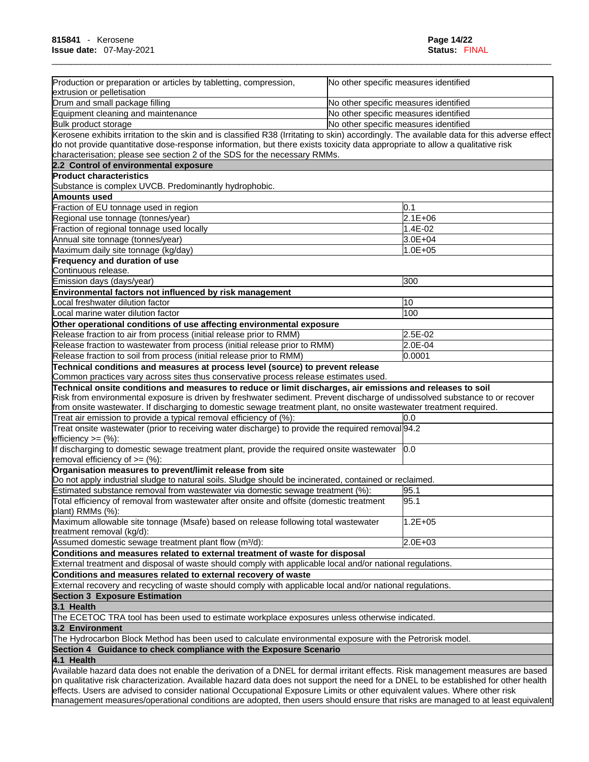| Production or preparation or articles by tabletting, compression,<br>extrusion or pelletisation                                             | No other specific measures identified |
|---------------------------------------------------------------------------------------------------------------------------------------------|---------------------------------------|
| Drum and small package filling                                                                                                              | No other specific measures identified |
| Equipment cleaning and maintenance                                                                                                          | No other specific measures identified |
| Bulk product storage                                                                                                                        | No other specific measures identified |
| Kerosene exhibits irritation to the skin and is classified R38 (Irritating to skin) accordingly. The available data for this adverse effect |                                       |
| do not provide quantitative dose-response information, but there exists toxicity data appropriate to allow a qualitative risk               |                                       |
| characterisation; please see section 2 of the SDS for the necessary RMMs.                                                                   |                                       |
| 2.2 Control of environmental exposure                                                                                                       |                                       |
| <b>Product characteristics</b>                                                                                                              |                                       |
| Substance is complex UVCB. Predominantly hydrophobic.                                                                                       |                                       |
| Amounts used                                                                                                                                |                                       |
| Fraction of EU tonnage used in region                                                                                                       | 0.1                                   |
| Regional use tonnage (tonnes/year)                                                                                                          | $2.1E + 06$                           |
| Fraction of regional tonnage used locally                                                                                                   | 1.4E-02                               |
|                                                                                                                                             | 3.0E+04                               |
| Annual site tonnage (tonnes/year)                                                                                                           | 1.0E+05                               |
| Maximum daily site tonnage (kg/day)                                                                                                         |                                       |
| Frequency and duration of use<br>Continuous release.                                                                                        |                                       |
|                                                                                                                                             |                                       |
| Emission days (days/year)                                                                                                                   | 300                                   |
| Environmental factors not influenced by risk management                                                                                     |                                       |
| Local freshwater dilution factor                                                                                                            | 10                                    |
| Local marine water dilution factor                                                                                                          | 100                                   |
| Other operational conditions of use affecting environmental exposure                                                                        |                                       |
| Release fraction to air from process (initial release prior to RMM)                                                                         | 2.5E-02                               |
| Release fraction to wastewater from process (initial release prior to RMM)                                                                  | 2.0E-04                               |
| Release fraction to soil from process (initial release prior to RMM)                                                                        | 0.0001                                |
| Technical conditions and measures at process level (source) to prevent release                                                              |                                       |
| Common practices vary across sites thus conservative process release estimates used.                                                        |                                       |
| Technical onsite conditions and measures to reduce or limit discharges, air emissions and releases to soil                                  |                                       |
| Risk from environmental exposure is driven by freshwater sediment. Prevent discharge of undissolved substance to or recover                 |                                       |
| from onsite wastewater. If discharging to domestic sewage treatment plant, no onsite wastewater treatment required.                         |                                       |
| Treat air emission to provide a typical removal efficiency of (%):                                                                          | 0.0                                   |
| Treat onsite wastewater (prior to receiving water discharge) to provide the required removal 94.2<br>efficiency $>=$ $(\%)$ :               |                                       |
| If discharging to domestic sewage treatment plant, provide the required onsite wastewater<br>removal efficiency of $>=$ (%):                | 0.0                                   |
| Organisation measures to prevent/limit release from site                                                                                    |                                       |
| Do not apply industrial sludge to natural soils. Sludge should be incinerated, contained or reclaimed.                                      |                                       |
| Estimated substance removal from wastewater via domestic sewage treatment (%):                                                              | 95.1                                  |
| Total efficiency of removal from wastewater after onsite and offsite (domestic treatment<br>plant) RMMs (%):                                | 95.1                                  |
| Maximum allowable site tonnage (Msafe) based on release following total wastewater<br>treatment removal (kg/d):                             | $1.2E + 05$                           |
| Assumed domestic sewage treatment plant flow (m <sup>3</sup> /d):                                                                           | $2.0E + 03$                           |
| Conditions and measures related to external treatment of waste for disposal                                                                 |                                       |
| External treatment and disposal of waste should comply with applicable local and/or national regulations.                                   |                                       |
| Conditions and measures related to external recovery of waste                                                                               |                                       |
| External recovery and recycling of waste should comply with applicable local and/or national regulations.                                   |                                       |
|                                                                                                                                             |                                       |
| <b>Section 3 Exposure Estimation</b>                                                                                                        |                                       |
| 3.1 Health                                                                                                                                  |                                       |
| The ECETOC TRA tool has been used to estimate workplace exposures unless otherwise indicated.                                               |                                       |
| 3.2 Environment                                                                                                                             |                                       |
| The Hydrocarbon Block Method has been used to calculate environmental exposure with the Petrorisk model.                                    |                                       |
| Section 4 Guidance to check compliance with the Exposure Scenario                                                                           |                                       |
| 4.1 Health                                                                                                                                  |                                       |
| Available hazard data does not enable the derivation of a DNEL for dermal irritant effects. Risk management measures are based              |                                       |
| on qualitative risk characterization. Available hazard data does not support the need for a DNEL to be established for other health         |                                       |
| effects. Users are advised to consider national Occupational Exposure Limits or other equivalent values. Where other risk                   |                                       |

management measures/operational conditions are adopted, then users should ensure that risks are managed to at least equivalent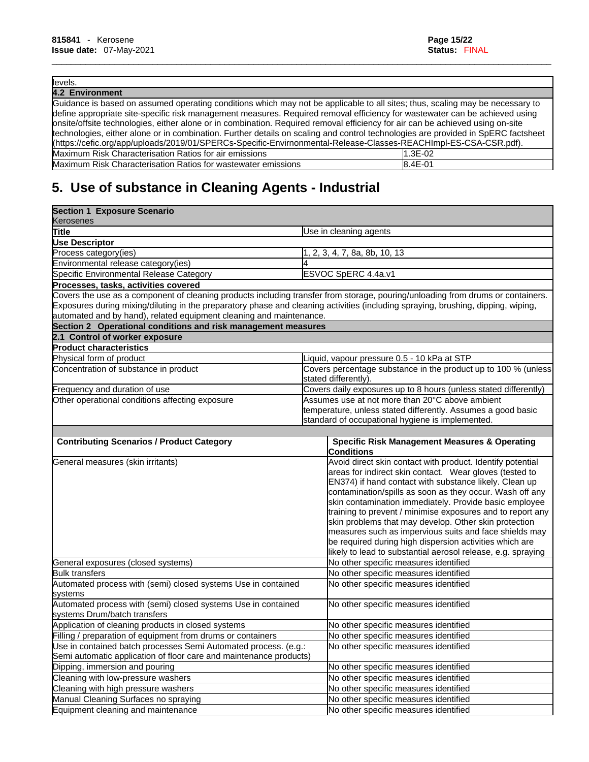### levels.

| 4.2 Environment                                                                                                                   |         |
|-----------------------------------------------------------------------------------------------------------------------------------|---------|
| Guidance is based on assumed operating conditions which may not be applicable to all sites; thus, scaling may be necessary to     |         |
| define appropriate site-specific risk management measures. Required removal efficiency for wastewater can be achieved using       |         |
| onsite/offsite technologies, either alone or in combination. Required removal efficiency for air can be achieved using on-site    |         |
| technologies, either alone or in combination. Further details on scaling and control technologies are provided in SpERC factsheet |         |
| (https://cefic.org/app/uploads/2019/01/SPERCs-Specific-Envirnonmental-Release-Classes-REACHImpl-ES-CSA-CSR.pdf).                  |         |
| Maximum Risk Characterisation Ratios for air emissions                                                                            | 1.3E-02 |
| Maximum Risk Characterisation Ratios for wastewater emissions                                                                     | 8.4E-01 |

\_\_\_\_\_\_\_\_\_\_\_\_\_\_\_\_\_\_\_\_\_\_\_\_\_\_\_\_\_\_\_\_\_\_\_\_\_\_\_\_\_\_\_\_\_\_\_\_\_\_\_\_\_\_\_\_\_\_\_\_\_\_\_\_\_\_\_\_\_\_\_\_\_\_\_\_\_\_\_\_\_\_\_\_\_\_\_\_\_\_\_\_\_\_\_\_\_\_\_\_\_\_\_\_

# **5. Use of substance in Cleaning Agents - Industrial**

| <b>Section 1 Exposure Scenario</b>                                                                                                                                                                                                                                                                                                          |                                                                                                                                                                     |  |
|---------------------------------------------------------------------------------------------------------------------------------------------------------------------------------------------------------------------------------------------------------------------------------------------------------------------------------------------|---------------------------------------------------------------------------------------------------------------------------------------------------------------------|--|
| Kerosenes                                                                                                                                                                                                                                                                                                                                   |                                                                                                                                                                     |  |
| Title                                                                                                                                                                                                                                                                                                                                       | Use in cleaning agents                                                                                                                                              |  |
| <b>Use Descriptor</b>                                                                                                                                                                                                                                                                                                                       |                                                                                                                                                                     |  |
| Process category (ies)                                                                                                                                                                                                                                                                                                                      | 1, 2, 3, 4, 7, 8a, 8b, 10, 13                                                                                                                                       |  |
| Environmental release category(ies)                                                                                                                                                                                                                                                                                                         |                                                                                                                                                                     |  |
| Specific Environmental Release Category                                                                                                                                                                                                                                                                                                     | ESVOC SpERC 4.4a.v1                                                                                                                                                 |  |
| Processes, tasks, activities covered                                                                                                                                                                                                                                                                                                        |                                                                                                                                                                     |  |
| Covers the use as a component of cleaning products including transfer from storage, pouring/unloading from drums or containers.<br>Exposures during mixing/diluting in the preparatory phase and cleaning activities (including spraying, brushing, dipping, wiping,<br>automated and by hand), related equipment cleaning and maintenance. |                                                                                                                                                                     |  |
| Section 2 Operational conditions and risk management measures                                                                                                                                                                                                                                                                               |                                                                                                                                                                     |  |
| 2.1 Control of worker exposure                                                                                                                                                                                                                                                                                                              |                                                                                                                                                                     |  |
| <b>Product characteristics</b>                                                                                                                                                                                                                                                                                                              |                                                                                                                                                                     |  |
| Physical form of product                                                                                                                                                                                                                                                                                                                    | Liquid, vapour pressure 0.5 - 10 kPa at STP                                                                                                                         |  |
| Concentration of substance in product                                                                                                                                                                                                                                                                                                       | Covers percentage substance in the product up to 100 % (unless                                                                                                      |  |
|                                                                                                                                                                                                                                                                                                                                             | stated differently).                                                                                                                                                |  |
| Frequency and duration of use                                                                                                                                                                                                                                                                                                               | Covers daily exposures up to 8 hours (unless stated differently)                                                                                                    |  |
| Other operational conditions affecting exposure                                                                                                                                                                                                                                                                                             | Assumes use at not more than 20°C above ambient<br>temperature, unless stated differently. Assumes a good basic<br>standard of occupational hygiene is implemented. |  |
|                                                                                                                                                                                                                                                                                                                                             |                                                                                                                                                                     |  |
| <b>Contributing Scenarios / Product Category</b>                                                                                                                                                                                                                                                                                            | <b>Specific Risk Management Measures &amp; Operating</b><br><b>Conditions</b>                                                                                       |  |
| General measures (skin irritants)                                                                                                                                                                                                                                                                                                           | Avoid direct skin contact with product. Identify potential                                                                                                          |  |
|                                                                                                                                                                                                                                                                                                                                             | areas for indirect skin contact. Wear gloves (tested to                                                                                                             |  |
|                                                                                                                                                                                                                                                                                                                                             | EN374) if hand contact with substance likely. Clean up                                                                                                              |  |
|                                                                                                                                                                                                                                                                                                                                             | contamination/spills as soon as they occur. Wash off any                                                                                                            |  |
|                                                                                                                                                                                                                                                                                                                                             | skin contamination immediately. Provide basic employee                                                                                                              |  |
|                                                                                                                                                                                                                                                                                                                                             | training to prevent / minimise exposures and to report any                                                                                                          |  |
|                                                                                                                                                                                                                                                                                                                                             | skin problems that may develop. Other skin protection                                                                                                               |  |
|                                                                                                                                                                                                                                                                                                                                             | measures such as impervious suits and face shields may                                                                                                              |  |
|                                                                                                                                                                                                                                                                                                                                             | be required during high dispersion activities which are                                                                                                             |  |
|                                                                                                                                                                                                                                                                                                                                             | likely to lead to substantial aerosol release, e.g. spraying                                                                                                        |  |
| General exposures (closed systems)                                                                                                                                                                                                                                                                                                          | No other specific measures identified                                                                                                                               |  |
| <b>Bulk transfers</b>                                                                                                                                                                                                                                                                                                                       | No other specific measures identified                                                                                                                               |  |
| Automated process with (semi) closed systems Use in contained                                                                                                                                                                                                                                                                               | No other specific measures identified                                                                                                                               |  |
| systems                                                                                                                                                                                                                                                                                                                                     |                                                                                                                                                                     |  |
| Automated process with (semi) closed systems Use in contained<br>systems Drum/batch transfers                                                                                                                                                                                                                                               | No other specific measures identified                                                                                                                               |  |
| Application of cleaning products in closed systems                                                                                                                                                                                                                                                                                          | No other specific measures identified                                                                                                                               |  |
| Filling / preparation of equipment from drums or containers                                                                                                                                                                                                                                                                                 | No other specific measures identified                                                                                                                               |  |
| Use in contained batch processes Semi Automated process. (e.g.:                                                                                                                                                                                                                                                                             | No other specific measures identified                                                                                                                               |  |
| Semi automatic application of floor care and maintenance products)                                                                                                                                                                                                                                                                          |                                                                                                                                                                     |  |
| Dipping, immersion and pouring                                                                                                                                                                                                                                                                                                              | No other specific measures identified                                                                                                                               |  |
| Cleaning with low-pressure washers                                                                                                                                                                                                                                                                                                          | No other specific measures identified                                                                                                                               |  |
| Cleaning with high pressure washers                                                                                                                                                                                                                                                                                                         | No other specific measures identified                                                                                                                               |  |
| Manual Cleaning Surfaces no spraying                                                                                                                                                                                                                                                                                                        | No other specific measures identified                                                                                                                               |  |
| Equipment cleaning and maintenance                                                                                                                                                                                                                                                                                                          | No other specific measures identified                                                                                                                               |  |
|                                                                                                                                                                                                                                                                                                                                             |                                                                                                                                                                     |  |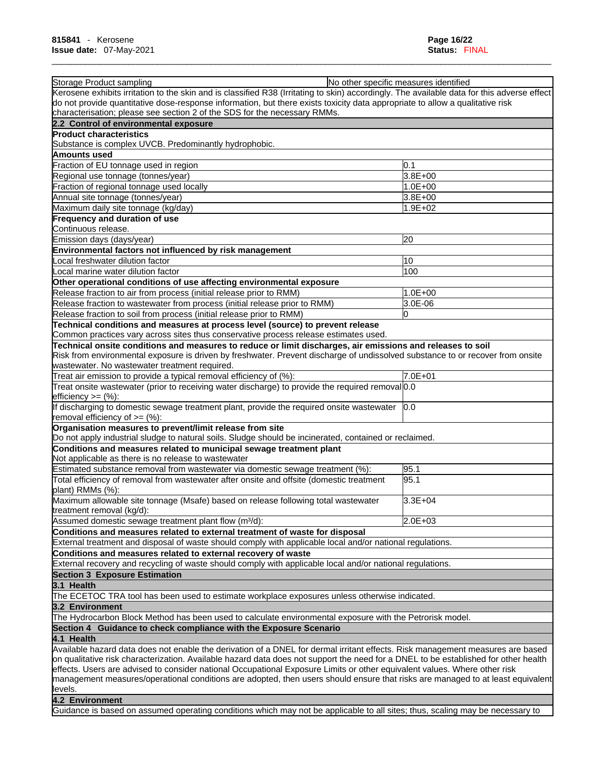| Storage Product sampling<br>No other specific measures identified<br>Kerosene exhibits irritation to the skin and is classified R38 (Irritating to skin) accordingly. The available data for this adverse effect |         |
|------------------------------------------------------------------------------------------------------------------------------------------------------------------------------------------------------------------|---------|
| do not provide quantitative dose-response information, but there exists toxicity data appropriate to allow a qualitative risk                                                                                    |         |
| characterisation; please see section 2 of the SDS for the necessary RMMs.                                                                                                                                        |         |
| 2.2 Control of environmental exposure                                                                                                                                                                            |         |
| <b>Product characteristics</b>                                                                                                                                                                                   |         |
| Substance is complex UVCB. Predominantly hydrophobic.                                                                                                                                                            |         |
| Amounts used                                                                                                                                                                                                     |         |
| Fraction of EU tonnage used in region                                                                                                                                                                            | 0.1     |
| Regional use tonnage (tonnes/year)                                                                                                                                                                               | 3.8E+00 |
| Fraction of regional tonnage used locally                                                                                                                                                                        | 1.0E+00 |
| Annual site tonnage (tonnes/year)                                                                                                                                                                                | 3.8E+00 |
| Maximum daily site tonnage (kg/day)                                                                                                                                                                              | 1.9E+02 |
| <b>Frequency and duration of use</b><br>Continuous release.                                                                                                                                                      |         |
| Emission days (days/year)                                                                                                                                                                                        | 20      |
| Environmental factors not influenced by risk management                                                                                                                                                          |         |
| Local freshwater dilution factor                                                                                                                                                                                 | 10      |
| Local marine water dilution factor                                                                                                                                                                               | 100     |
| Other operational conditions of use affecting environmental exposure                                                                                                                                             |         |
| Release fraction to air from process (initial release prior to RMM)                                                                                                                                              | 1.0E+00 |
| Release fraction to wastewater from process (initial release prior to RMM)                                                                                                                                       | 3.0E-06 |
| Release fraction to soil from process (initial release prior to RMM)                                                                                                                                             | 0       |
| Technical conditions and measures at process level (source) to prevent release                                                                                                                                   |         |
| Common practices vary across sites thus conservative process release estimates used.                                                                                                                             |         |
| Technical onsite conditions and measures to reduce or limit discharges, air emissions and releases to soil                                                                                                       |         |
| Risk from environmental exposure is driven by freshwater. Prevent discharge of undissolved substance to or recover from onsite                                                                                   |         |
| wastewater. No wastewater treatment required.                                                                                                                                                                    |         |
| Treat air emission to provide a typical removal efficiency of (%):                                                                                                                                               | 7.0E+01 |
| Treat onsite wastewater (prior to receiving water discharge) to provide the required removal 0.0<br>$lefticiency >= (%)$ :                                                                                       |         |
| If discharging to domestic sewage treatment plant, provide the required onsite wastewater<br>removal efficiency of $=$ (%):                                                                                      | 0.0     |
| Organisation measures to prevent/limit release from site<br>Do not apply industrial sludge to natural soils. Sludge should be incinerated, contained or reclaimed.                                               |         |
| Conditions and measures related to municipal sewage treatment plant                                                                                                                                              |         |
| Not applicable as there is no release to wastewater                                                                                                                                                              |         |
| Estimated substance removal from wastewater via domestic sewage treatment (%):                                                                                                                                   | 95.1    |
| Total efficiency of removal from wastewater after onsite and offsite (domestic treatment                                                                                                                         | 95.1    |
| plant) RMMs (%):                                                                                                                                                                                                 |         |
| Maximum allowable site tonnage (Msafe) based on release following total wastewater<br>treatment removal (kg/d):                                                                                                  | 3.3E+04 |
| Assumed domestic sewage treatment plant flow (m <sup>3</sup> /d):                                                                                                                                                | 2.0E+03 |
| Conditions and measures related to external treatment of waste for disposal                                                                                                                                      |         |
| External treatment and disposal of waste should comply with applicable local and/or national regulations.                                                                                                        |         |
| Conditions and measures related to external recovery of waste                                                                                                                                                    |         |
| External recovery and recycling of waste should comply with applicable local and/or national regulations.                                                                                                        |         |
| <b>Section 3 Exposure Estimation</b>                                                                                                                                                                             |         |
| 3.1 Health                                                                                                                                                                                                       |         |
| The ECETOC TRA tool has been used to estimate workplace exposures unless otherwise indicated.                                                                                                                    |         |
| 3.2 Environment                                                                                                                                                                                                  |         |
| The Hydrocarbon Block Method has been used to calculate environmental exposure with the Petrorisk model.                                                                                                         |         |
| Section 4 Guidance to check compliance with the Exposure Scenario                                                                                                                                                |         |
| 4.1 Health                                                                                                                                                                                                       |         |
| Available hazard data does not enable the derivation of a DNEL for dermal irritant effects. Risk management measures are based                                                                                   |         |
| on qualitative risk characterization. Available hazard data does not support the need for a DNEL to be established for other health                                                                              |         |
| effects. Users are advised to consider national Occupational Exposure Limits or other equivalent values. Where other risk                                                                                        |         |
| management measures/operational conditions are adopted, then users should ensure that risks are managed to at least equivalent<br>llevels.                                                                       |         |
| 4.2 Environment                                                                                                                                                                                                  |         |
| Guidance is based on assumed operating conditions which may not be applicable to all sites; thus, scaling may be necessary to                                                                                    |         |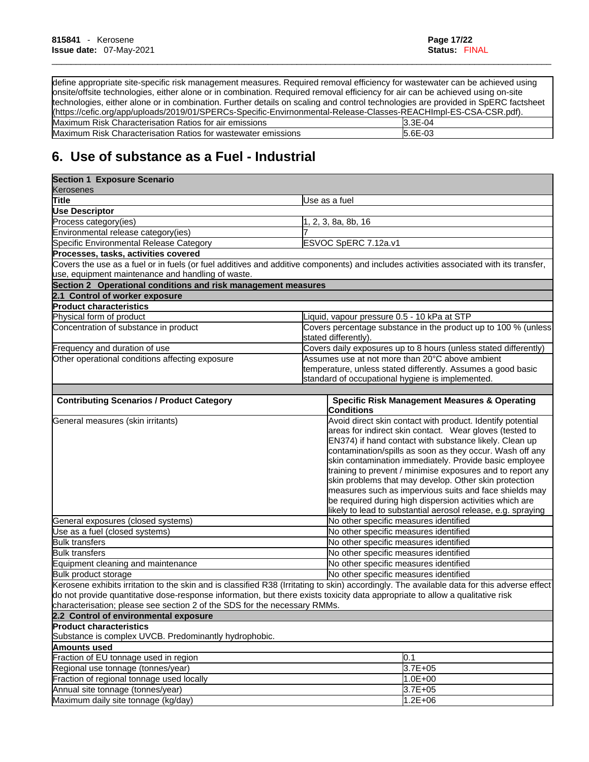define appropriate site-specific risk management measures. Required removal efficiency for wastewater can be achieved using onsite/offsite technologies, either alone or in combination. Required removal efficiency for air can be achieved using on-site technologies, either alone or in combination. Further details on scaling and control technologies are provided in SpERC factsheet (https://cefic.org/app/uploads/2019/01/SPERCs-Specific-Envirnonmental-Release-Classes-REACHImpl-ES-CSA-CSR.pdf). Maximum Risk Characterisation Ratios for air emissions 3.3E-04<br>Maximum Risk Characterisation Ratios for wastewater emissions 5.6E-03 Maximum Risk Characterisation Ratios for wastewater emissions

\_\_\_\_\_\_\_\_\_\_\_\_\_\_\_\_\_\_\_\_\_\_\_\_\_\_\_\_\_\_\_\_\_\_\_\_\_\_\_\_\_\_\_\_\_\_\_\_\_\_\_\_\_\_\_\_\_\_\_\_\_\_\_\_\_\_\_\_\_\_\_\_\_\_\_\_\_\_\_\_\_\_\_\_\_\_\_\_\_\_\_\_\_\_\_\_\_\_\_\_\_\_\_\_

# **6. Use of substance as a Fuel - Industrial**

| <b>Section 1 Exposure Scenario</b><br>Kerosenes                           |                                                                                                                                                                                                                                                                                                                                                                                                                                                                                                                                                                                                                   |  |
|---------------------------------------------------------------------------|-------------------------------------------------------------------------------------------------------------------------------------------------------------------------------------------------------------------------------------------------------------------------------------------------------------------------------------------------------------------------------------------------------------------------------------------------------------------------------------------------------------------------------------------------------------------------------------------------------------------|--|
| Title                                                                     | Use as a fuel                                                                                                                                                                                                                                                                                                                                                                                                                                                                                                                                                                                                     |  |
| <b>Use Descriptor</b>                                                     |                                                                                                                                                                                                                                                                                                                                                                                                                                                                                                                                                                                                                   |  |
| Process category(ies)                                                     | 1, 2, 3, 8a, 8b, 16                                                                                                                                                                                                                                                                                                                                                                                                                                                                                                                                                                                               |  |
| Environmental release category(ies)                                       |                                                                                                                                                                                                                                                                                                                                                                                                                                                                                                                                                                                                                   |  |
| Specific Environmental Release Category                                   | ESVOC SpERC 7.12a.v1                                                                                                                                                                                                                                                                                                                                                                                                                                                                                                                                                                                              |  |
| Processes, tasks, activities covered                                      |                                                                                                                                                                                                                                                                                                                                                                                                                                                                                                                                                                                                                   |  |
| use, equipment maintenance and handling of waste.                         | Covers the use as a fuel or in fuels (or fuel additives and additive components) and includes activities associated with its transfer,                                                                                                                                                                                                                                                                                                                                                                                                                                                                            |  |
| Section 2 Operational conditions and risk management measures             |                                                                                                                                                                                                                                                                                                                                                                                                                                                                                                                                                                                                                   |  |
| 2.1 Control of worker exposure                                            |                                                                                                                                                                                                                                                                                                                                                                                                                                                                                                                                                                                                                   |  |
| <b>Product characteristics</b>                                            |                                                                                                                                                                                                                                                                                                                                                                                                                                                                                                                                                                                                                   |  |
| Physical form of product                                                  | Liquid, vapour pressure 0.5 - 10 kPa at STP                                                                                                                                                                                                                                                                                                                                                                                                                                                                                                                                                                       |  |
| Concentration of substance in product                                     | Covers percentage substance in the product up to 100 % (unless                                                                                                                                                                                                                                                                                                                                                                                                                                                                                                                                                    |  |
|                                                                           | stated differently).                                                                                                                                                                                                                                                                                                                                                                                                                                                                                                                                                                                              |  |
| Frequency and duration of use                                             | Covers daily exposures up to 8 hours (unless stated differently)                                                                                                                                                                                                                                                                                                                                                                                                                                                                                                                                                  |  |
| Other operational conditions affecting exposure                           | Assumes use at not more than 20°C above ambient                                                                                                                                                                                                                                                                                                                                                                                                                                                                                                                                                                   |  |
|                                                                           | temperature, unless stated differently. Assumes a good basic                                                                                                                                                                                                                                                                                                                                                                                                                                                                                                                                                      |  |
|                                                                           | standard of occupational hygiene is implemented.                                                                                                                                                                                                                                                                                                                                                                                                                                                                                                                                                                  |  |
|                                                                           |                                                                                                                                                                                                                                                                                                                                                                                                                                                                                                                                                                                                                   |  |
| <b>Contributing Scenarios / Product Category</b>                          | <b>Specific Risk Management Measures &amp; Operating</b><br><b>Conditions</b>                                                                                                                                                                                                                                                                                                                                                                                                                                                                                                                                     |  |
| General measures (skin irritants)                                         | Avoid direct skin contact with product. Identify potential<br>areas for indirect skin contact. Wear gloves (tested to<br>EN374) if hand contact with substance likely. Clean up<br>contamination/spills as soon as they occur. Wash off any<br>skin contamination immediately. Provide basic employee<br>training to prevent / minimise exposures and to report any<br>skin problems that may develop. Other skin protection<br>measures such as impervious suits and face shields may<br>be required during high dispersion activities which are<br>likely to lead to substantial aerosol release, e.g. spraying |  |
| General exposures (closed systems)                                        | No other specific measures identified                                                                                                                                                                                                                                                                                                                                                                                                                                                                                                                                                                             |  |
| Use as a fuel (closed systems)                                            | No other specific measures identified                                                                                                                                                                                                                                                                                                                                                                                                                                                                                                                                                                             |  |
| <b>Bulk transfers</b>                                                     | No other specific measures identified                                                                                                                                                                                                                                                                                                                                                                                                                                                                                                                                                                             |  |
| <b>Bulk transfers</b>                                                     | No other specific measures identified                                                                                                                                                                                                                                                                                                                                                                                                                                                                                                                                                                             |  |
| Equipment cleaning and maintenance                                        | No other specific measures identified                                                                                                                                                                                                                                                                                                                                                                                                                                                                                                                                                                             |  |
| Bulk product storage                                                      | No other specific measures identified                                                                                                                                                                                                                                                                                                                                                                                                                                                                                                                                                                             |  |
| characterisation: please see section 2 of the SDS for the necessary RMMs. | Kerosene exhibits irritation to the skin and is classified R38 (Irritating to skin) accordingly. The available data for this adverse effect<br>do not provide quantitative dose-response information, but there exists toxicity data appropriate to allow a qualitative risk                                                                                                                                                                                                                                                                                                                                      |  |
| 2.2 Control of environmental exposure                                     |                                                                                                                                                                                                                                                                                                                                                                                                                                                                                                                                                                                                                   |  |
| <b>Product characteristics</b>                                            |                                                                                                                                                                                                                                                                                                                                                                                                                                                                                                                                                                                                                   |  |
| Substance is complex UVCB. Predominantly hydrophobic.                     |                                                                                                                                                                                                                                                                                                                                                                                                                                                                                                                                                                                                                   |  |
| <b>Amounts used</b>                                                       |                                                                                                                                                                                                                                                                                                                                                                                                                                                                                                                                                                                                                   |  |
| Fraction of EU tonnage used in region                                     | 0.1                                                                                                                                                                                                                                                                                                                                                                                                                                                                                                                                                                                                               |  |
| Regional use tonnage (tonnes/year)                                        | 3.7E+05                                                                                                                                                                                                                                                                                                                                                                                                                                                                                                                                                                                                           |  |
| Fraction of regional tonnage used locally                                 | $1.0E + 00$                                                                                                                                                                                                                                                                                                                                                                                                                                                                                                                                                                                                       |  |
| Annual site tonnage (tonnes/year)                                         | 3.7E+05                                                                                                                                                                                                                                                                                                                                                                                                                                                                                                                                                                                                           |  |
| Maximum daily site tonnage (kg/day)                                       | $1.2E + 06$                                                                                                                                                                                                                                                                                                                                                                                                                                                                                                                                                                                                       |  |
|                                                                           |                                                                                                                                                                                                                                                                                                                                                                                                                                                                                                                                                                                                                   |  |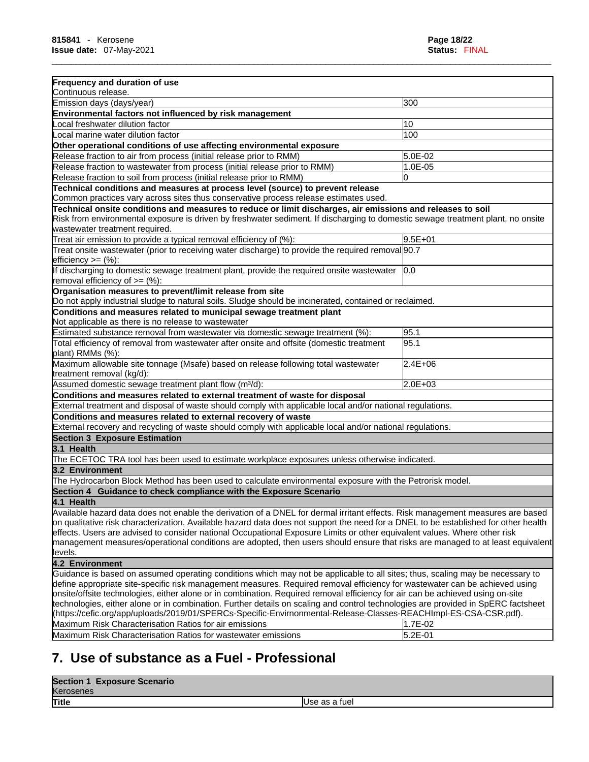| Frequency and duration of use<br>Continuous release.                                                                                                                                                                                                                            |                        |
|---------------------------------------------------------------------------------------------------------------------------------------------------------------------------------------------------------------------------------------------------------------------------------|------------------------|
| Emission days (days/year)                                                                                                                                                                                                                                                       | 300                    |
| Environmental factors not influenced by risk management                                                                                                                                                                                                                         |                        |
| Local freshwater dilution factor                                                                                                                                                                                                                                                | 10                     |
| Local marine water dilution factor                                                                                                                                                                                                                                              | 100                    |
|                                                                                                                                                                                                                                                                                 |                        |
| Other operational conditions of use affecting environmental exposure                                                                                                                                                                                                            |                        |
| Release fraction to air from process (initial release prior to RMM)                                                                                                                                                                                                             | 5.0E-02                |
| Release fraction to wastewater from process (initial release prior to RMM)                                                                                                                                                                                                      | 1.0E-05                |
| Release fraction to soil from process (initial release prior to RMM)                                                                                                                                                                                                            | 0                      |
| Technical conditions and measures at process level (source) to prevent release                                                                                                                                                                                                  |                        |
| Common practices vary across sites thus conservative process release estimates used.                                                                                                                                                                                            |                        |
| Technical onsite conditions and measures to reduce or limit discharges, air emissions and releases to soil<br>Risk from environmental exposure is driven by freshwater sediment. If discharging to domestic sewage treatment plant, no onsite<br>wastewater treatment required. |                        |
| Treat air emission to provide a typical removal efficiency of (%):                                                                                                                                                                                                              | $9.5E + 01$            |
| Treat onsite wastewater (prior to receiving water discharge) to provide the required removal 90.7                                                                                                                                                                               |                        |
| efficiency $>=$ (%):                                                                                                                                                                                                                                                            |                        |
| If discharging to domestic sewage treatment plant, provide the required onsite wastewater<br>removal efficiency of $>=(\%)$ :                                                                                                                                                   | 0.0                    |
| Organisation measures to prevent/limit release from site                                                                                                                                                                                                                        |                        |
| Do not apply industrial sludge to natural soils. Sludge should be incinerated, contained or reclaimed.                                                                                                                                                                          |                        |
| Conditions and measures related to municipal sewage treatment plant                                                                                                                                                                                                             |                        |
| Not applicable as there is no release to wastewater                                                                                                                                                                                                                             |                        |
| Estimated substance removal from wastewater via domestic sewage treatment (%):                                                                                                                                                                                                  | 95.1                   |
| Total efficiency of removal from wastewater after onsite and offsite (domestic treatment<br>plant) RMMs (%):                                                                                                                                                                    | 95.1                   |
| Maximum allowable site tonnage (Msafe) based on release following total wastewater<br>treatment removal (kg/d):                                                                                                                                                                 | 2.4E+06                |
| Assumed domestic sewage treatment plant flow (m <sup>3</sup> /d):                                                                                                                                                                                                               | $2.0E + 03$            |
| Conditions and measures related to external treatment of waste for disposal                                                                                                                                                                                                     |                        |
| External treatment and disposal of waste should comply with applicable local and/or national regulations.                                                                                                                                                                       |                        |
| Conditions and measures related to external recovery of waste                                                                                                                                                                                                                   |                        |
| External recovery and recycling of waste should comply with applicable local and/or national regulations.                                                                                                                                                                       |                        |
| <b>Section 3 Exposure Estimation</b>                                                                                                                                                                                                                                            |                        |
| 3.1 Health                                                                                                                                                                                                                                                                      |                        |
| The ECETOC TRA tool has been used to estimate workplace exposures unless otherwise indicated.                                                                                                                                                                                   |                        |
|                                                                                                                                                                                                                                                                                 |                        |
| 3.2 Environment                                                                                                                                                                                                                                                                 |                        |
| The Hydrocarbon Block Method has been used to calculate environmental exposure with the Petrorisk model.                                                                                                                                                                        |                        |
| Section 4 Guidance to check compliance with the Exposure Scenario                                                                                                                                                                                                               |                        |
| 4.1 Health                                                                                                                                                                                                                                                                      |                        |
| Available hazard data does not enable the derivation of a DNEL for dermal irritant effects. Risk management measures are based                                                                                                                                                  |                        |
| on qualitative risk characterization. Available hazard data does not support the need for a DNEL to be established for other health                                                                                                                                             |                        |
| effects. Users are advised to consider national Occupational Exposure Limits or other equivalent values. Where other risk                                                                                                                                                       |                        |
| management measures/operational conditions are adopted, then users should ensure that risks are managed to at least equivalent                                                                                                                                                  |                        |
| levels.                                                                                                                                                                                                                                                                         |                        |
| 4.2 Environment                                                                                                                                                                                                                                                                 |                        |
| Guidance is based on assumed operating conditions which may not be applicable to all sites; thus, scaling may be necessary to                                                                                                                                                   |                        |
| define appropriate site-specific risk management measures. Required removal efficiency for wastewater can be achieved using                                                                                                                                                     |                        |
| onsite/offsite technologies, either alone or in combination. Required removal efficiency for air can be achieved using on-site                                                                                                                                                  |                        |
| technologies, either alone or in combination. Further details on scaling and control technologies are provided in SpERC factsheet                                                                                                                                               |                        |
| l(https://cefic.org/app/uploads/2019/01/SPERCs-Specific-Envirnonmental-Release-Classes-REACHImpl-ES-CSA-CSR.pdf).                                                                                                                                                               |                        |
|                                                                                                                                                                                                                                                                                 |                        |
| Maximum Risk Characterisation Ratios for air emissions<br>Maximum Risk Characterisation Ratios for wastewater emissions                                                                                                                                                         | 1.7E-02<br>$5.2E - 01$ |

# **7. Use of substance as a Fuel - Professional**

| <b>Section 1</b><br><b>Exposure Scenario</b> |                |
|----------------------------------------------|----------------|
| Kerosenes                                    |                |
| Title                                        | IUse as a fuel |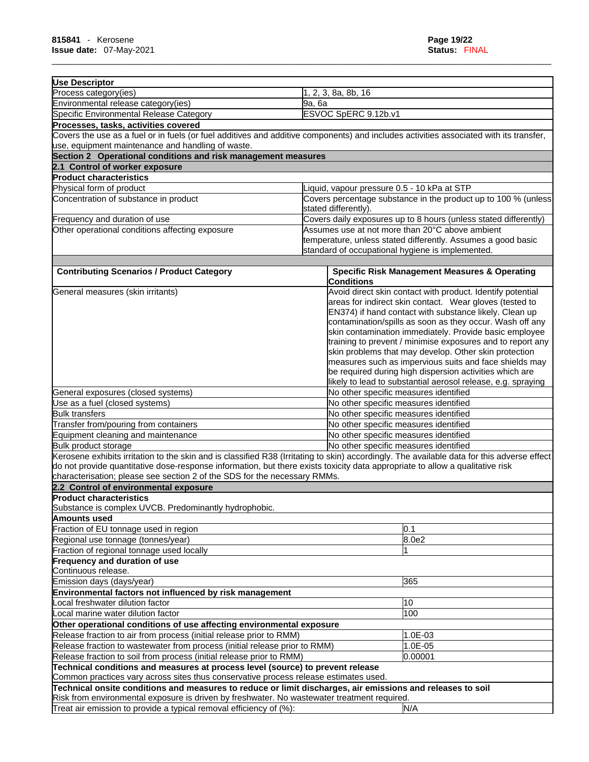| <b>Use Descriptor</b>                                                                                                                       |                                                                  |                                                                                                                         |  |
|---------------------------------------------------------------------------------------------------------------------------------------------|------------------------------------------------------------------|-------------------------------------------------------------------------------------------------------------------------|--|
| Process category(ies)                                                                                                                       |                                                                  | 1, 2, 3, 8a, 8b, 16                                                                                                     |  |
| Environmental release category(ies)                                                                                                         | 9a, 6a                                                           |                                                                                                                         |  |
| Specific Environmental Release Category<br>ESVOC SpERC 9.12b.v1                                                                             |                                                                  |                                                                                                                         |  |
| Processes, tasks, activities covered                                                                                                        |                                                                  |                                                                                                                         |  |
| Covers the use as a fuel or in fuels (or fuel additives and additive components) and includes activities associated with its transfer,      |                                                                  |                                                                                                                         |  |
| use, equipment maintenance and handling of waste.                                                                                           |                                                                  |                                                                                                                         |  |
| Section 2 Operational conditions and risk management measures                                                                               |                                                                  |                                                                                                                         |  |
| 2.1 Control of worker exposure                                                                                                              |                                                                  |                                                                                                                         |  |
| <b>Product characteristics</b>                                                                                                              |                                                                  |                                                                                                                         |  |
| Physical form of product                                                                                                                    |                                                                  | iquid, vapour pressure 0.5 - 10 kPa at STP                                                                              |  |
| Concentration of substance in product                                                                                                       |                                                                  | Covers percentage substance in the product up to 100 % (unless<br>stated differently).                                  |  |
| Frequency and duration of use                                                                                                               | Covers daily exposures up to 8 hours (unless stated differently) |                                                                                                                         |  |
| Other operational conditions affecting exposure                                                                                             |                                                                  | Assumes use at not more than 20°C above ambient                                                                         |  |
|                                                                                                                                             |                                                                  | temperature, unless stated differently. Assumes a good basic                                                            |  |
|                                                                                                                                             |                                                                  | standard of occupational hygiene is implemented.                                                                        |  |
|                                                                                                                                             |                                                                  |                                                                                                                         |  |
| <b>Contributing Scenarios / Product Category</b>                                                                                            |                                                                  | <b>Specific Risk Management Measures &amp; Operating</b><br><b>Conditions</b>                                           |  |
| General measures (skin irritants)                                                                                                           |                                                                  | Avoid direct skin contact with product. Identify potential                                                              |  |
|                                                                                                                                             |                                                                  | areas for indirect skin contact. Wear gloves (tested to                                                                 |  |
|                                                                                                                                             |                                                                  | EN374) if hand contact with substance likely. Clean up                                                                  |  |
|                                                                                                                                             |                                                                  | contamination/spills as soon as they occur. Wash off any                                                                |  |
|                                                                                                                                             |                                                                  | skin contamination immediately. Provide basic employee                                                                  |  |
|                                                                                                                                             |                                                                  | training to prevent / minimise exposures and to report any                                                              |  |
|                                                                                                                                             |                                                                  | skin problems that may develop. Other skin protection                                                                   |  |
|                                                                                                                                             |                                                                  | measures such as impervious suits and face shields may                                                                  |  |
|                                                                                                                                             |                                                                  | be required during high dispersion activities which are<br>likely to lead to substantial aerosol release, e.g. spraying |  |
| General exposures (closed systems)                                                                                                          |                                                                  | No other specific measures identified                                                                                   |  |
| Use as a fuel (closed systems)                                                                                                              |                                                                  | No other specific measures identified                                                                                   |  |
| <b>Bulk transfers</b>                                                                                                                       |                                                                  | No other specific measures identified                                                                                   |  |
| Transfer from/pouring from containers                                                                                                       |                                                                  | No other specific measures identified                                                                                   |  |
| Equipment cleaning and maintenance                                                                                                          |                                                                  | No other specific measures identified                                                                                   |  |
| Bulk product storage                                                                                                                        |                                                                  | No other specific measures identified                                                                                   |  |
| Kerosene exhibits irritation to the skin and is classified R38 (Irritating to skin) accordingly. The available data for this adverse effect |                                                                  |                                                                                                                         |  |
| do not provide quantitative dose-response information, but there exists toxicity data appropriate to allow a qualitative risk               |                                                                  |                                                                                                                         |  |
| characterisation; please see section 2 of the SDS for the necessary RMMs.                                                                   |                                                                  |                                                                                                                         |  |
| 2.2 Control of environmental exposure                                                                                                       |                                                                  |                                                                                                                         |  |
| <b>Product characteristics</b>                                                                                                              |                                                                  |                                                                                                                         |  |
| Substance is complex UVCB. Predominantly hydrophobic.                                                                                       |                                                                  |                                                                                                                         |  |
| Amounts used                                                                                                                                |                                                                  |                                                                                                                         |  |
| Fraction of EU tonnage used in region                                                                                                       |                                                                  | 0.1                                                                                                                     |  |
| Regional use tonnage (tonnes/year)                                                                                                          |                                                                  | 8.0e2                                                                                                                   |  |
| Fraction of regional tonnage used locally                                                                                                   |                                                                  |                                                                                                                         |  |
| Frequency and duration of use                                                                                                               |                                                                  |                                                                                                                         |  |
| Continuous release.                                                                                                                         |                                                                  |                                                                                                                         |  |
| Emission days (days/year)                                                                                                                   |                                                                  | 365                                                                                                                     |  |
| Environmental factors not influenced by risk management                                                                                     |                                                                  |                                                                                                                         |  |
| Local freshwater dilution factor                                                                                                            |                                                                  | 10                                                                                                                      |  |
| Local marine water dilution factor                                                                                                          |                                                                  | 100                                                                                                                     |  |
| Other operational conditions of use affecting environmental exposure                                                                        |                                                                  |                                                                                                                         |  |
| Release fraction to air from process (initial release prior to RMM)                                                                         |                                                                  | 1.0E-03                                                                                                                 |  |
| Release fraction to wastewater from process (initial release prior to RMM)                                                                  |                                                                  | 1.0E-05                                                                                                                 |  |
| Release fraction to soil from process (initial release prior to RMM)                                                                        |                                                                  | 0.00001                                                                                                                 |  |
| Technical conditions and measures at process level (source) to prevent release                                                              |                                                                  |                                                                                                                         |  |
| Common practices vary across sites thus conservative process release estimates used.                                                        |                                                                  |                                                                                                                         |  |
| Technical onsite conditions and measures to reduce or limit discharges, air emissions and releases to soil                                  |                                                                  |                                                                                                                         |  |
| Risk from environmental exposure is driven by freshwater. No wastewater treatment required.                                                 |                                                                  |                                                                                                                         |  |
| Treat air emission to provide a typical removal efficiency of (%):                                                                          |                                                                  | N/A                                                                                                                     |  |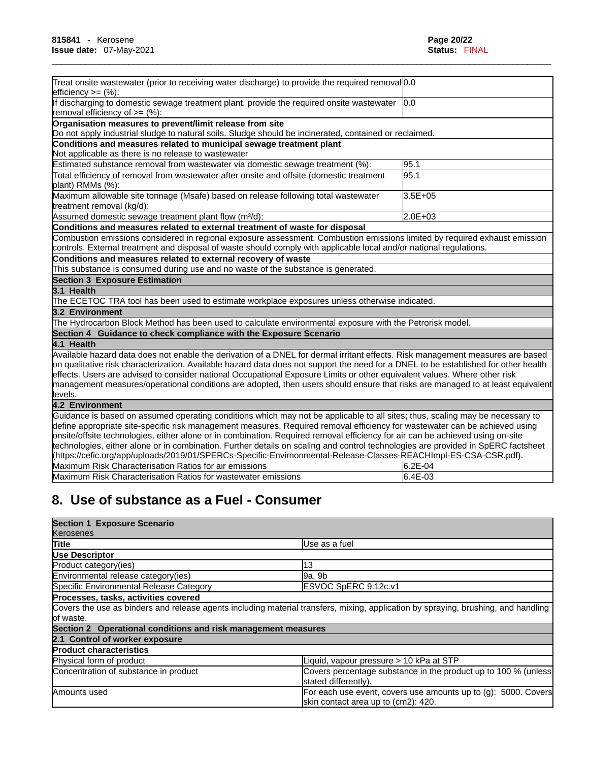| Treat onsite wastewater (prior to receiving water discharge) to provide the required removal 0.0<br>$lefticiency >= (%)$ :                                                                                                                                                                                                                                                                                                                                                                                                                      |             |
|-------------------------------------------------------------------------------------------------------------------------------------------------------------------------------------------------------------------------------------------------------------------------------------------------------------------------------------------------------------------------------------------------------------------------------------------------------------------------------------------------------------------------------------------------|-------------|
| If discharging to domestic sewage treatment plant, provide the required onsite wastewater<br>removal efficiency of $=$ (%):                                                                                                                                                                                                                                                                                                                                                                                                                     | 0.0         |
| Organisation measures to prevent/limit release from site<br>Do not apply industrial sludge to natural soils. Sludge should be incinerated, contained or reclaimed.                                                                                                                                                                                                                                                                                                                                                                              |             |
| Conditions and measures related to municipal sewage treatment plant<br>Not applicable as there is no release to wastewater                                                                                                                                                                                                                                                                                                                                                                                                                      |             |
| Estimated substance removal from wastewater via domestic sewage treatment (%):                                                                                                                                                                                                                                                                                                                                                                                                                                                                  | 95.1        |
| Total efficiency of removal from wastewater after onsite and offsite (domestic treatment<br>plant) RMMs (%):                                                                                                                                                                                                                                                                                                                                                                                                                                    | 95.1        |
| Maximum allowable site tonnage (Msafe) based on release following total wastewater<br>treatment removal (kg/d):                                                                                                                                                                                                                                                                                                                                                                                                                                 | $3.5E + 05$ |
| Assumed domestic sewage treatment plant flow (m <sup>3</sup> /d):                                                                                                                                                                                                                                                                                                                                                                                                                                                                               | 2.0E+03     |
| Conditions and measures related to external treatment of waste for disposal                                                                                                                                                                                                                                                                                                                                                                                                                                                                     |             |
| Combustion emissions considered in regional exposure assessment. Combustion emissions limited by required exhaust emission<br>controls. External treatment and disposal of waste should comply with applicable local and/or national regulations.                                                                                                                                                                                                                                                                                               |             |
| Conditions and measures related to external recovery of waste                                                                                                                                                                                                                                                                                                                                                                                                                                                                                   |             |
| This substance is consumed during use and no waste of the substance is generated.                                                                                                                                                                                                                                                                                                                                                                                                                                                               |             |
| <b>Section 3 Exposure Estimation</b>                                                                                                                                                                                                                                                                                                                                                                                                                                                                                                            |             |
| 3.1 Health                                                                                                                                                                                                                                                                                                                                                                                                                                                                                                                                      |             |
| The ECETOC TRA tool has been used to estimate workplace exposures unless otherwise indicated.                                                                                                                                                                                                                                                                                                                                                                                                                                                   |             |
| 3.2 Environment                                                                                                                                                                                                                                                                                                                                                                                                                                                                                                                                 |             |
| The Hydrocarbon Block Method has been used to calculate environmental exposure with the Petrorisk model.                                                                                                                                                                                                                                                                                                                                                                                                                                        |             |
| Section 4 Guidance to check compliance with the Exposure Scenario                                                                                                                                                                                                                                                                                                                                                                                                                                                                               |             |
| 4.1 Health                                                                                                                                                                                                                                                                                                                                                                                                                                                                                                                                      |             |
| Available hazard data does not enable the derivation of a DNEL for dermal irritant effects. Risk management measures are based<br>on qualitative risk characterization. Available hazard data does not support the need for a DNEL to be established for other health<br>effects. Users are advised to consider national Occupational Exposure Limits or other equivalent values. Where other risk<br>management measures/operational conditions are adopted, then users should ensure that risks are managed to at least equivalent<br>levels. |             |
| 4.2 Environment                                                                                                                                                                                                                                                                                                                                                                                                                                                                                                                                 |             |
| Guidance is based on assumed operating conditions which may not be applicable to all sites; thus, scaling may be necessary to                                                                                                                                                                                                                                                                                                                                                                                                                   |             |
| define appropriate site-specific risk management measures. Required removal efficiency for wastewater can be achieved using                                                                                                                                                                                                                                                                                                                                                                                                                     |             |
| onsite/offsite technologies, either alone or in combination. Required removal efficiency for air can be achieved using on-site                                                                                                                                                                                                                                                                                                                                                                                                                  |             |
| technologies, either alone or in combination. Further details on scaling and control technologies are provided in SpERC factsheet                                                                                                                                                                                                                                                                                                                                                                                                               |             |
| (https://cefic.org/app/uploads/2019/01/SPERCs-Specific-Envirnonmental-Release-Classes-REACHImpl-ES-CSA-CSR.pdf).                                                                                                                                                                                                                                                                                                                                                                                                                                |             |
| Maximum Risk Characterisation Ratios for air emissions                                                                                                                                                                                                                                                                                                                                                                                                                                                                                          | 6.2E-04     |
| Maximum Risk Characterisation Ratios for wastewater emissions                                                                                                                                                                                                                                                                                                                                                                                                                                                                                   | 6.4E-03     |

# **8. Use of substance as a Fuel - Consumer**

| <b>Section 1 Exposure Scenario</b>                            |                                                                                                                                    |
|---------------------------------------------------------------|------------------------------------------------------------------------------------------------------------------------------------|
| Kerosenes                                                     |                                                                                                                                    |
| <b>Title</b>                                                  | Use as a fuel                                                                                                                      |
| <b>Use Descriptor</b>                                         |                                                                                                                                    |
| Product category (ies)                                        | 13                                                                                                                                 |
| Environmental release category (ies)                          | 9a, 9b                                                                                                                             |
| Specific Environmental Release Category                       | ESVOC SpERC 9.12c.v1                                                                                                               |
| Processes, tasks, activities covered                          |                                                                                                                                    |
|                                                               | Covers the use as binders and release agents including material transfers, mixing, application by spraying, brushing, and handling |
| of waste.                                                     |                                                                                                                                    |
| Section 2 Operational conditions and risk management measures |                                                                                                                                    |
| 2.1 Control of worker exposure                                |                                                                                                                                    |
| <b>Product characteristics</b>                                |                                                                                                                                    |
| Physical form of product                                      | Liquid, vapour pressure > 10 kPa at STP                                                                                            |
| Concentration of substance in product                         | Covers percentage substance in the product up to 100 % (unless<br>stated differently).                                             |
| Amounts used                                                  | For each use event, covers use amounts up to (g): 5000. Covers<br>skin contact area up to (cm2): 420.                              |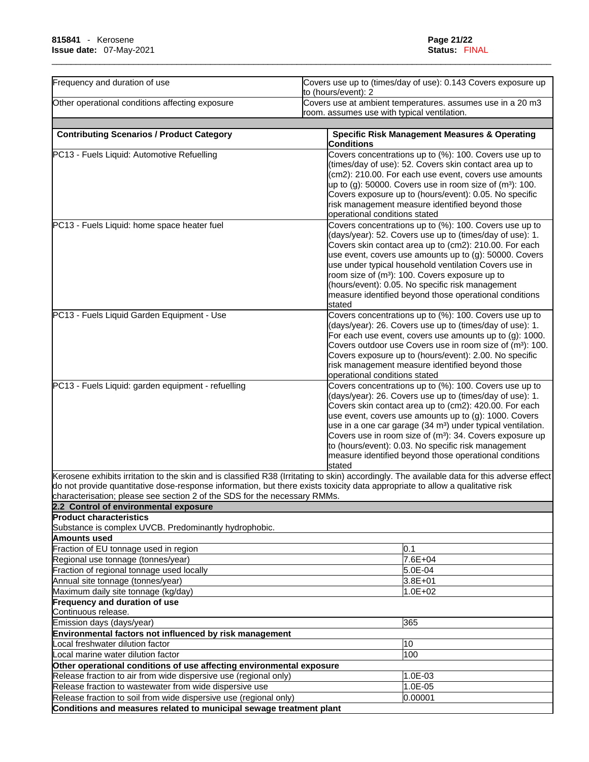| Frequency and duration of use                                                                                                 | Covers use up to (times/day of use): 0.143 Covers exposure up                                                                                                                                                                                                                                                                                                                                                                                                                                                       |  |
|-------------------------------------------------------------------------------------------------------------------------------|---------------------------------------------------------------------------------------------------------------------------------------------------------------------------------------------------------------------------------------------------------------------------------------------------------------------------------------------------------------------------------------------------------------------------------------------------------------------------------------------------------------------|--|
|                                                                                                                               | to (hours/event): 2                                                                                                                                                                                                                                                                                                                                                                                                                                                                                                 |  |
| Other operational conditions affecting exposure                                                                               | Covers use at ambient temperatures. assumes use in a 20 m3<br>room. assumes use with typical ventilation.                                                                                                                                                                                                                                                                                                                                                                                                           |  |
|                                                                                                                               |                                                                                                                                                                                                                                                                                                                                                                                                                                                                                                                     |  |
| <b>Contributing Scenarios / Product Category</b>                                                                              | <b>Specific Risk Management Measures &amp; Operating</b><br><b>Conditions</b>                                                                                                                                                                                                                                                                                                                                                                                                                                       |  |
| PC13 - Fuels Liquid: Automotive Refuelling                                                                                    | Covers concentrations up to (%): 100. Covers use up to<br>(times/day of use): 52. Covers skin contact area up to<br>(cm2): 210.00. For each use event, covers use amounts<br>up to $(g)$ : 50000. Covers use in room size of $(m3)$ : 100.<br>Covers exposure up to (hours/event): 0.05. No specific<br>risk management measure identified beyond those<br>operational conditions stated                                                                                                                            |  |
| PC13 - Fuels Liquid: home space heater fuel                                                                                   | Covers concentrations up to (%): 100. Covers use up to<br>(days/year): 52. Covers use up to (times/day of use): 1.<br>Covers skin contact area up to (cm2): 210.00. For each<br>use event, covers use amounts up to (g): 50000. Covers<br>use under typical household ventilation Covers use in<br>room size of (m <sup>3</sup> ): 100. Covers exposure up to<br>(hours/event): 0.05. No specific risk management<br>measure identified beyond those operational conditions                                         |  |
| PC13 - Fuels Liquid Garden Equipment - Use                                                                                    | stated<br>Covers concentrations up to (%): 100. Covers use up to<br>(days/year): 26. Covers use up to (times/day of use): 1.<br>For each use event, covers use amounts up to (g): 1000.<br>Covers outdoor use Covers use in room size of (m <sup>3</sup> ): 100.<br>Covers exposure up to (hours/event): 2.00. No specific<br>risk management measure identified beyond those<br>operational conditions stated                                                                                                      |  |
| PC13 - Fuels Liquid: garden equipment - refuelling                                                                            | Covers concentrations up to (%): 100. Covers use up to<br>(days/year): 26. Covers use up to (times/day of use): 1.<br>Covers skin contact area up to (cm2): 420.00. For each<br>use event, covers use amounts up to (g): 1000. Covers<br>use in a one car garage (34 m <sup>3</sup> ) under typical ventilation.<br>Covers use in room size of (m <sup>3</sup> ): 34. Covers exposure up<br>to (hours/event): 0.03. No specific risk management<br>measure identified beyond those operational conditions<br>stated |  |
|                                                                                                                               | Kerosene exhibits irritation to the skin and is classified R38 (Irritating to skin) accordingly. The available data for this adverse effect                                                                                                                                                                                                                                                                                                                                                                         |  |
| do not provide quantitative dose-response information, but there exists toxicity data appropriate to allow a qualitative risk |                                                                                                                                                                                                                                                                                                                                                                                                                                                                                                                     |  |
| characterisation; please see section 2 of the SDS for the necessary RMMs.                                                     |                                                                                                                                                                                                                                                                                                                                                                                                                                                                                                                     |  |
| 2.2 Control of environmental exposure                                                                                         |                                                                                                                                                                                                                                                                                                                                                                                                                                                                                                                     |  |
| Product characteristics<br>Substance is complex UVCB. Predominantly hydrophobic.                                              |                                                                                                                                                                                                                                                                                                                                                                                                                                                                                                                     |  |
| Amounts used                                                                                                                  |                                                                                                                                                                                                                                                                                                                                                                                                                                                                                                                     |  |
| Fraction of EU tonnage used in region                                                                                         | 0.1                                                                                                                                                                                                                                                                                                                                                                                                                                                                                                                 |  |
| Regional use tonnage (tonnes/year)                                                                                            | 7.6E+04                                                                                                                                                                                                                                                                                                                                                                                                                                                                                                             |  |
| Fraction of regional tonnage used locally                                                                                     | 5.0E-04                                                                                                                                                                                                                                                                                                                                                                                                                                                                                                             |  |
| Annual site tonnage (tonnes/year)                                                                                             | 3.8E+01                                                                                                                                                                                                                                                                                                                                                                                                                                                                                                             |  |
| Maximum daily site tonnage (kg/day)                                                                                           | 1.0E+02                                                                                                                                                                                                                                                                                                                                                                                                                                                                                                             |  |
| Frequency and duration of use                                                                                                 |                                                                                                                                                                                                                                                                                                                                                                                                                                                                                                                     |  |
| Continuous release.                                                                                                           |                                                                                                                                                                                                                                                                                                                                                                                                                                                                                                                     |  |
| Emission days (days/year)                                                                                                     | 365                                                                                                                                                                                                                                                                                                                                                                                                                                                                                                                 |  |
| Environmental factors not influenced by risk management                                                                       |                                                                                                                                                                                                                                                                                                                                                                                                                                                                                                                     |  |
| Local freshwater dilution factor                                                                                              | 10                                                                                                                                                                                                                                                                                                                                                                                                                                                                                                                  |  |
| Local marine water dilution factor                                                                                            | 100                                                                                                                                                                                                                                                                                                                                                                                                                                                                                                                 |  |
| Other operational conditions of use affecting environmental exposure                                                          |                                                                                                                                                                                                                                                                                                                                                                                                                                                                                                                     |  |
| Release fraction to air from wide dispersive use (regional only)                                                              | 1.0E-03                                                                                                                                                                                                                                                                                                                                                                                                                                                                                                             |  |
|                                                                                                                               |                                                                                                                                                                                                                                                                                                                                                                                                                                                                                                                     |  |
| Release fraction to wastewater from wide dispersive use                                                                       | 1.0E-05                                                                                                                                                                                                                                                                                                                                                                                                                                                                                                             |  |
| Release fraction to soil from wide dispersive use (regional only)                                                             | 0.00001                                                                                                                                                                                                                                                                                                                                                                                                                                                                                                             |  |
| Conditions and measures related to municipal sewage treatment plant                                                           |                                                                                                                                                                                                                                                                                                                                                                                                                                                                                                                     |  |